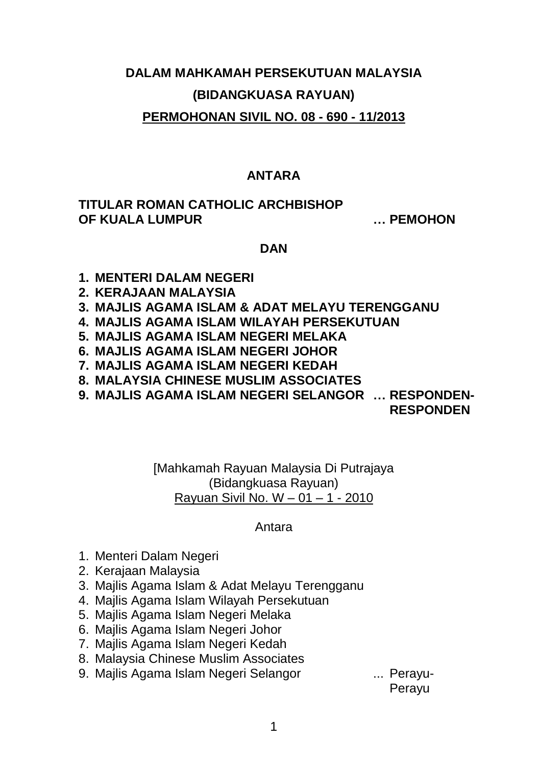# **DALAM MAHKAMAH PERSEKUTUAN MALAYSIA (BIDANGKUASA RAYUAN) PERMOHONAN SIVIL NO. 08 - 690 - 11/2013**

## **ANTARA**

### **TITULAR ROMAN CATHOLIC ARCHBISHOP OF KUALA LUMPUR … PEMOHON**

### **DAN**

- **1. MENTERI DALAM NEGERI**
- **2. KERAJAAN MALAYSIA**
- **3. MAJLIS AGAMA ISLAM & ADAT MELAYU TERENGGANU**
- **4. MAJLIS AGAMA ISLAM WILAYAH PERSEKUTUAN**
- **5. MAJLIS AGAMA ISLAM NEGERI MELAKA**
- **6. MAJLIS AGAMA ISLAM NEGERI JOHOR**
- **7. MAJLIS AGAMA ISLAM NEGERI KEDAH**
- **8. MALAYSIA CHINESE MUSLIM ASSOCIATES**
- **9. MAJLIS AGAMA ISLAM NEGERI SELANGOR … RESPONDEN-**

**RESPONDEN**

[Mahkamah Rayuan Malaysia Di Putrajaya (Bidangkuasa Rayuan) Rayuan Sivil No. W – 01 – 1 - 2010

Antara

- 1. Menteri Dalam Negeri
- 2. Kerajaan Malaysia
- 3. Majlis Agama Islam & Adat Melayu Terengganu
- 4. Majlis Agama Islam Wilayah Persekutuan
- 5. Majlis Agama Islam Negeri Melaka
- 6. Majlis Agama Islam Negeri Johor
- 7. Majlis Agama Islam Negeri Kedah
- 8. Malaysia Chinese Muslim Associates
- 9. Majlis Agama Islam Negeri Selangor ... Perayu-

Perayu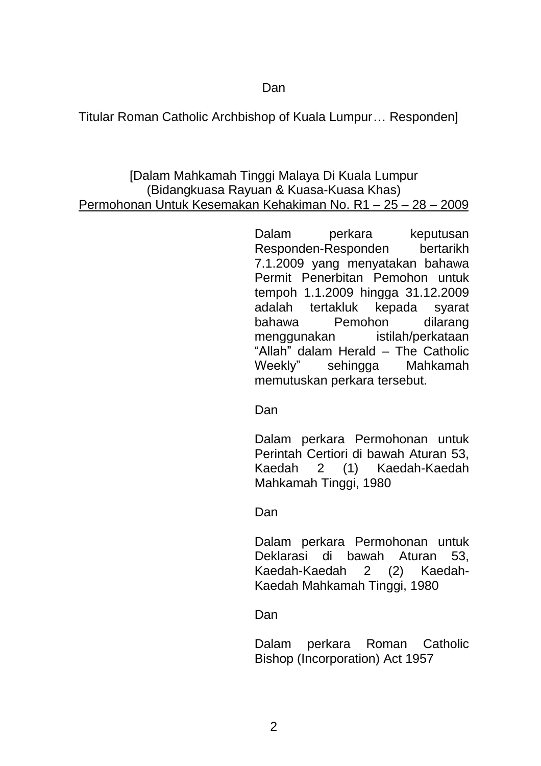Dan

Titular Roman Catholic Archbishop of Kuala Lumpur… Responden]

## [Dalam Mahkamah Tinggi Malaya Di Kuala Lumpur (Bidangkuasa Rayuan & Kuasa-Kuasa Khas) Permohonan Untuk Kesemakan Kehakiman No. R1 – 25 – 28 – 2009

Dalam perkara keputusan Responden-Responden bertarikh 7.1.2009 yang menyatakan bahawa Permit Penerbitan Pemohon untuk tempoh 1.1.2009 hingga 31.12.2009 adalah tertakluk kepada syarat bahawa Pemohon dilarang menggunakan istilah/perkataan "Allah" dalam Herald – The Catholic Weekly" sehingga Mahkamah memutuskan perkara tersebut.

Dan

Dalam perkara Permohonan untuk Perintah Certiori di bawah Aturan 53, Kaedah 2 (1) Kaedah-Kaedah Mahkamah Tinggi, 1980

Dan

Dalam perkara Permohonan untuk Deklarasi di bawah Aturan 53, Kaedah-Kaedah 2 (2) Kaedah-Kaedah Mahkamah Tinggi, 1980

Dan

Dalam perkara Roman Catholic Bishop (Incorporation) Act 1957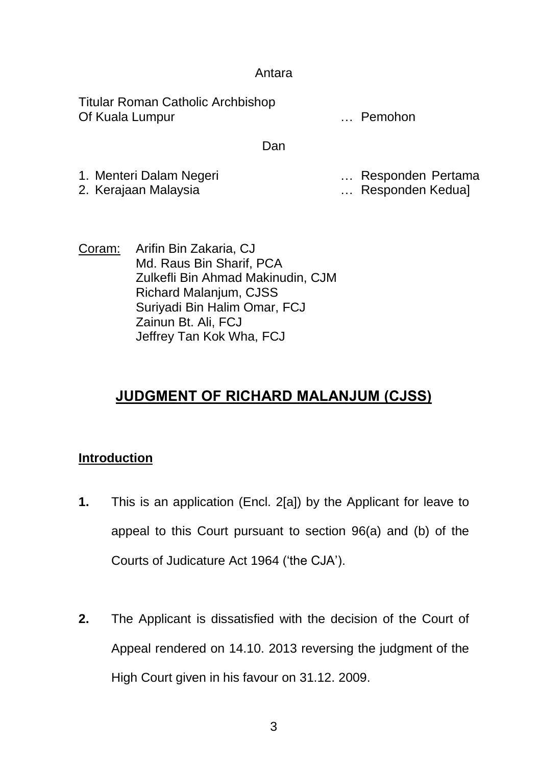### Antara

Titular Roman Catholic Archbishop Of Kuala Lumpur **Contract Contract Contract Contract Contract Contract Contract Contract Contract Contract Contract Contract Contract Contract Contract Contract Contract Contract Contract Contract Contract Contract Contrac** 

#### Dan

- 1. Menteri Dalam Negeri … Responden Pertama
	-

- ... Responden Kedua]
- Coram: Arifin Bin Zakaria, CJ Md. Raus Bin Sharif, PCA Zulkefli Bin Ahmad Makinudin, CJM Richard Malanjum, CJSS Suriyadi Bin Halim Omar, FCJ Zainun Bt. Ali, FCJ Jeffrey Tan Kok Wha, FCJ

# **JUDGMENT OF RICHARD MALANJUM (CJSS)**

# **Introduction**

- **1.** This is an application (Encl. 2[a]) by the Applicant for leave to appeal to this Court pursuant to section 96(a) and (b) of the Courts of Judicature Act 1964 ('the CJA').
- **2.** The Applicant is dissatisfied with the decision of the Court of Appeal rendered on 14.10. 2013 reversing the judgment of the High Court given in his favour on 31.12. 2009.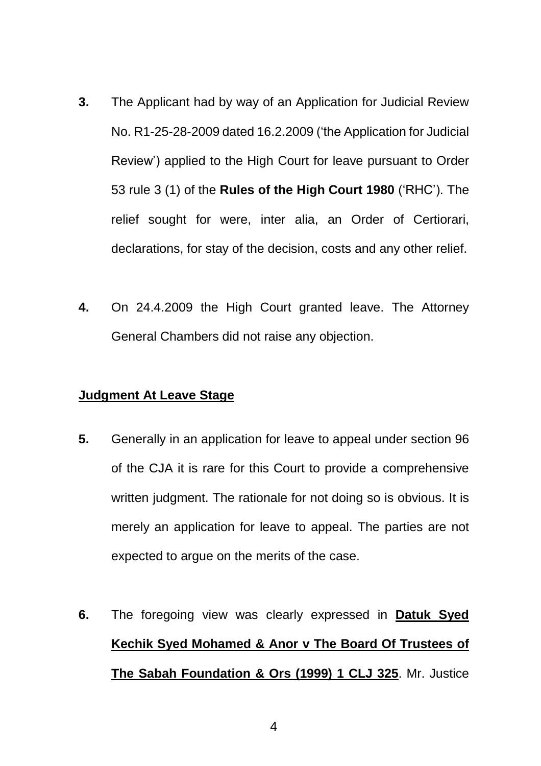- **3.** The Applicant had by way of an Application for Judicial Review No. R1-25-28-2009 dated 16.2.2009 ('the Application for Judicial Review') applied to the High Court for leave pursuant to Order 53 rule 3 (1) of the **Rules of the High Court 1980** ('RHC'). The relief sought for were, inter alia, an Order of Certiorari, declarations, for stay of the decision, costs and any other relief.
- **4.** On 24.4.2009 the High Court granted leave. The Attorney General Chambers did not raise any objection.

## **Judgment At Leave Stage**

- **5.** Generally in an application for leave to appeal under section 96 of the CJA it is rare for this Court to provide a comprehensive written judgment. The rationale for not doing so is obvious. It is merely an application for leave to appeal. The parties are not expected to argue on the merits of the case.
- **6.** The foregoing view was clearly expressed in **Datuk Syed Kechik Syed Mohamed & Anor v The Board Of Trustees of The Sabah Foundation & Ors (1999) 1 CLJ 325**. Mr. Justice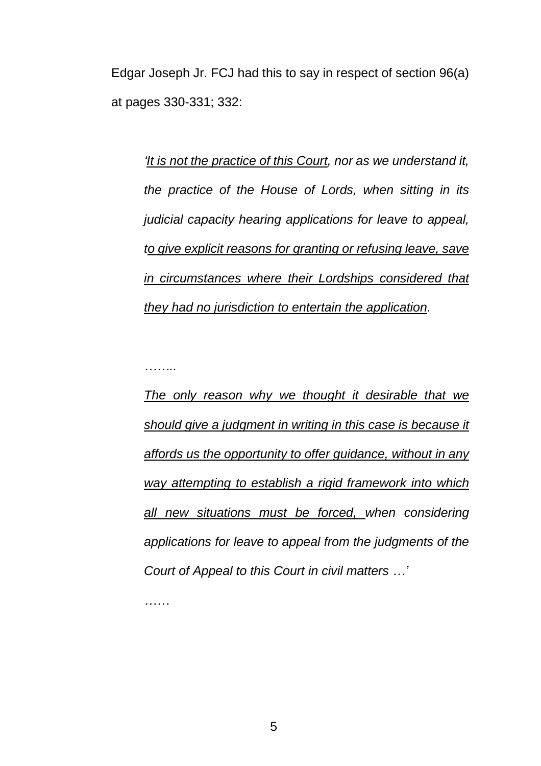Edgar Joseph Jr. FCJ had this to say in respect of section 96(a) at pages 330-331; 332:

*'It is not the practice of this Court, nor as we understand it, the practice of the House of Lords, when sitting in its judicial capacity hearing applications for leave to appeal, to give explicit reasons for granting or refusing leave, save in circumstances where their Lordships considered that they had no jurisdiction to entertain the application.*

*……..*

*The only reason why we thought it desirable that we should give a judgment in writing in this case is because it affords us the opportunity to offer guidance, without in any way attempting to establish a rigid framework into which all new situations must be forced, when considering applications for leave to appeal from the judgments of the Court of Appeal to this Court in civil matters …'*

*……*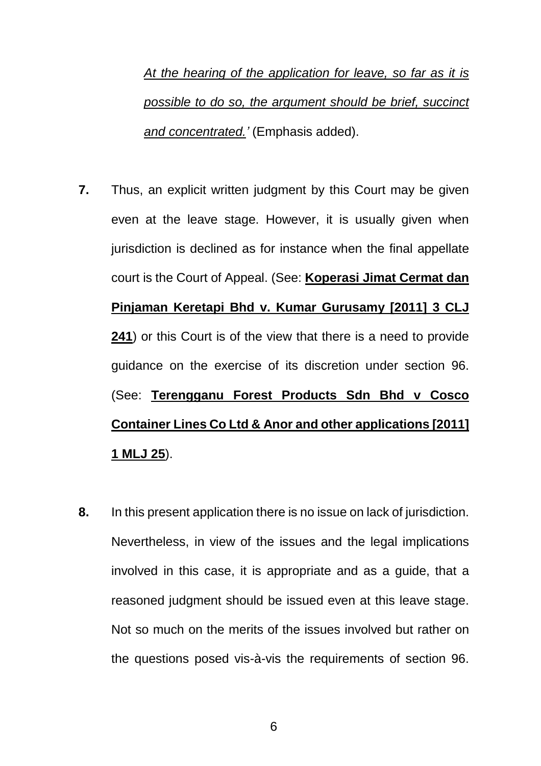*At the hearing of the application for leave, so far as it is possible to do so, the argument should be brief, succinct and concentrated.'* (Emphasis added).

- **7.** Thus, an explicit written judgment by this Court may be given even at the leave stage. However, it is usually given when jurisdiction is declined as for instance when the final appellate court is the Court of Appeal. (See: **Koperasi Jimat Cermat dan Pinjaman Keretapi Bhd v. Kumar Gurusamy [2011] 3 CLJ 241**) or this Court is of the view that there is a need to provide guidance on the exercise of its discretion under section 96. (See: **Terengganu Forest Products Sdn Bhd v Cosco Container Lines Co Ltd & Anor and other applications [2011] 1 MLJ 25**).
- **8.** In this present application there is no issue on lack of jurisdiction. Nevertheless, in view of the issues and the legal implications involved in this case, it is appropriate and as a guide, that a reasoned judgment should be issued even at this leave stage. Not so much on the merits of the issues involved but rather on the questions posed vis-à-vis the requirements of section 96.

6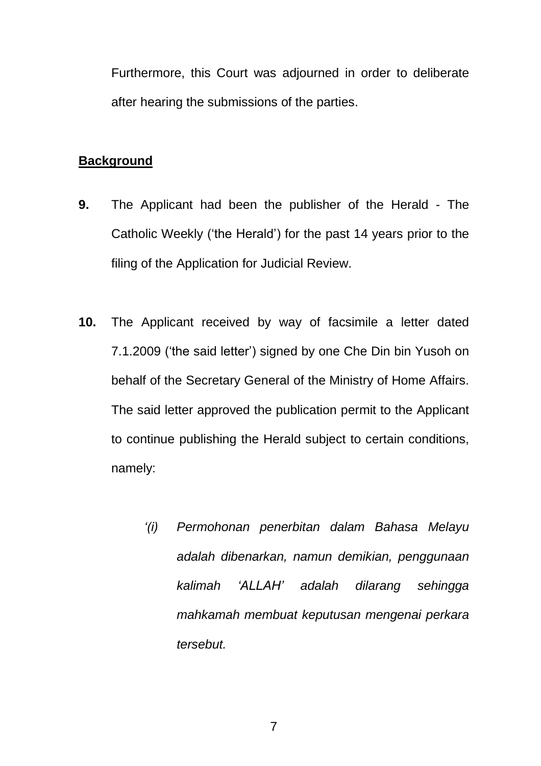Furthermore, this Court was adjourned in order to deliberate after hearing the submissions of the parties.

### **Background**

- **9.** The Applicant had been the publisher of the Herald The Catholic Weekly ('the Herald') for the past 14 years prior to the filing of the Application for Judicial Review.
- **10.** The Applicant received by way of facsimile a letter dated 7.1.2009 ('the said letter') signed by one Che Din bin Yusoh on behalf of the Secretary General of the Ministry of Home Affairs. The said letter approved the publication permit to the Applicant to continue publishing the Herald subject to certain conditions, namely:
	- *'(i) Permohonan penerbitan dalam Bahasa Melayu adalah dibenarkan, namun demikian, penggunaan kalimah 'ALLAH' adalah dilarang sehingga mahkamah membuat keputusan mengenai perkara tersebut.*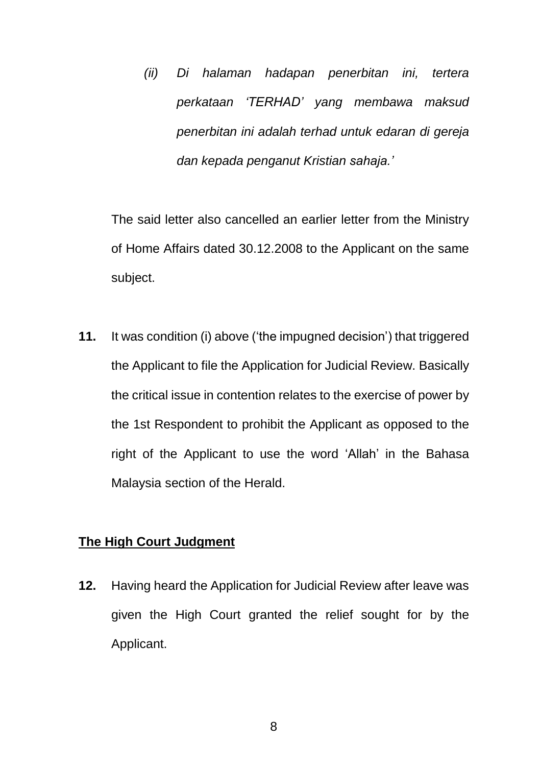*(ii) Di halaman hadapan penerbitan ini, tertera perkataan 'TERHAD' yang membawa maksud penerbitan ini adalah terhad untuk edaran di gereja dan kepada penganut Kristian sahaja.'*

The said letter also cancelled an earlier letter from the Ministry of Home Affairs dated 30.12.2008 to the Applicant on the same subject.

**11.** It was condition (i) above ('the impugned decision') that triggered the Applicant to file the Application for Judicial Review. Basically the critical issue in contention relates to the exercise of power by the 1st Respondent to prohibit the Applicant as opposed to the right of the Applicant to use the word 'Allah' in the Bahasa Malaysia section of the Herald.

### **The High Court Judgment**

**12.** Having heard the Application for Judicial Review after leave was given the High Court granted the relief sought for by the Applicant.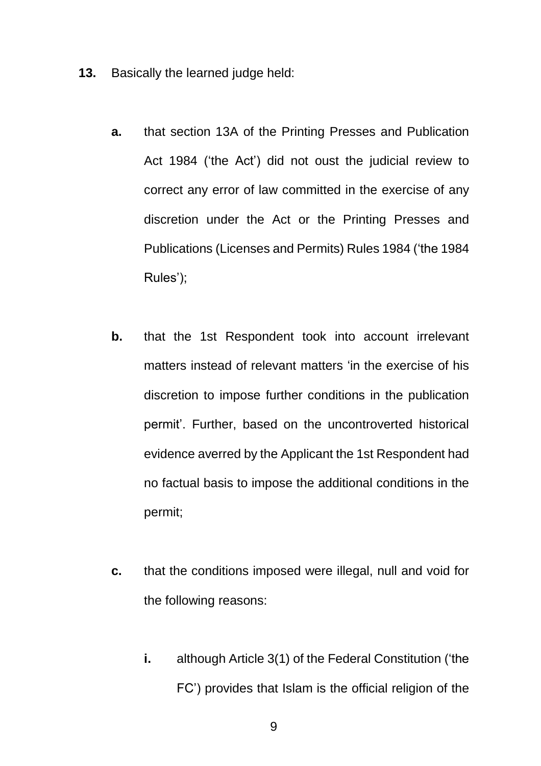- **13.** Basically the learned judge held:
	- **a.** that section 13A of the Printing Presses and Publication Act 1984 ('the Act') did not oust the judicial review to correct any error of law committed in the exercise of any discretion under the Act or the Printing Presses and Publications (Licenses and Permits) Rules 1984 ('the 1984 Rules');
	- **b.** that the 1st Respondent took into account irrelevant matters instead of relevant matters 'in the exercise of his discretion to impose further conditions in the publication permit'. Further, based on the uncontroverted historical evidence averred by the Applicant the 1st Respondent had no factual basis to impose the additional conditions in the permit;
	- **c.** that the conditions imposed were illegal, null and void for the following reasons:
		- **i.** although Article 3(1) of the Federal Constitution ('the FC') provides that Islam is the official religion of the

9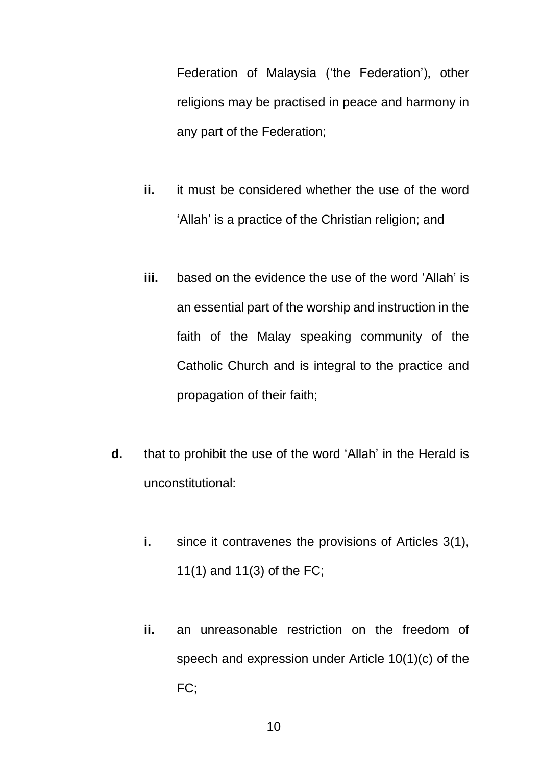Federation of Malaysia ('the Federation'), other religions may be practised in peace and harmony in any part of the Federation;

- **ii.** it must be considered whether the use of the word 'Allah' is a practice of the Christian religion; and
- **iii.** based on the evidence the use of the word 'Allah' is an essential part of the worship and instruction in the faith of the Malay speaking community of the Catholic Church and is integral to the practice and propagation of their faith;
- **d.** that to prohibit the use of the word 'Allah' in the Herald is unconstitutional:
	- **i.** since it contravenes the provisions of Articles 3(1), 11(1) and 11(3) of the FC;
	- **ii.** an unreasonable restriction on the freedom of speech and expression under Article 10(1)(c) of the FC;

10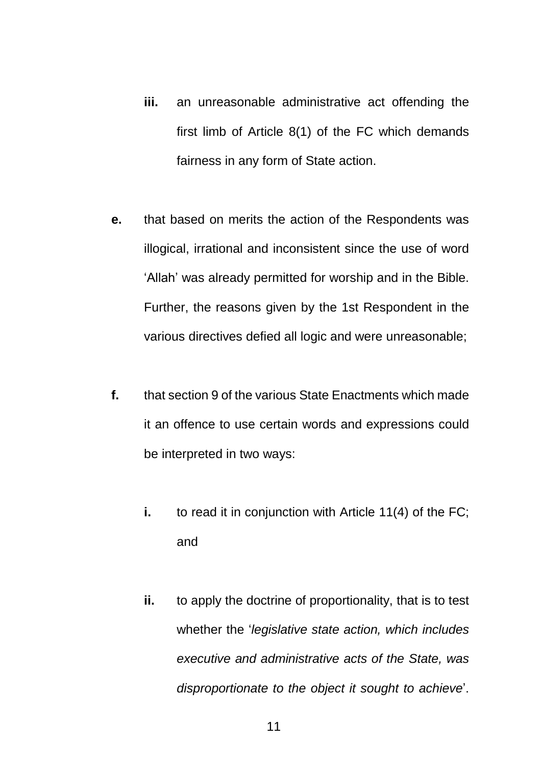- **iii.** an unreasonable administrative act offending the first limb of Article 8(1) of the FC which demands fairness in any form of State action.
- **e.** that based on merits the action of the Respondents was illogical, irrational and inconsistent since the use of word 'Allah' was already permitted for worship and in the Bible. Further, the reasons given by the 1st Respondent in the various directives defied all logic and were unreasonable;
- **f.** that section 9 of the various State Enactments which made it an offence to use certain words and expressions could be interpreted in two ways:
	- **i.** to read it in conjunction with Article 11(4) of the FC; and
	- **ii.** to apply the doctrine of proportionality, that is to test whether the '*legislative state action, which includes executive and administrative acts of the State, was disproportionate to the object it sought to achieve*'.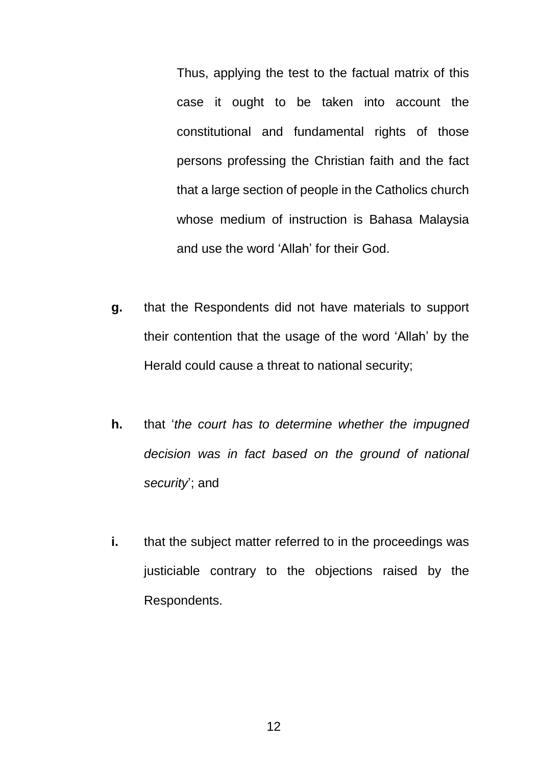Thus, applying the test to the factual matrix of this case it ought to be taken into account the constitutional and fundamental rights of those persons professing the Christian faith and the fact that a large section of people in the Catholics church whose medium of instruction is Bahasa Malaysia and use the word 'Allah' for their God.

- **g.** that the Respondents did not have materials to support their contention that the usage of the word 'Allah' by the Herald could cause a threat to national security;
- **h.** that '*the court has to determine whether the impugned decision was in fact based on the ground of national security*'; and
- **i.** that the subject matter referred to in the proceedings was justiciable contrary to the objections raised by the Respondents.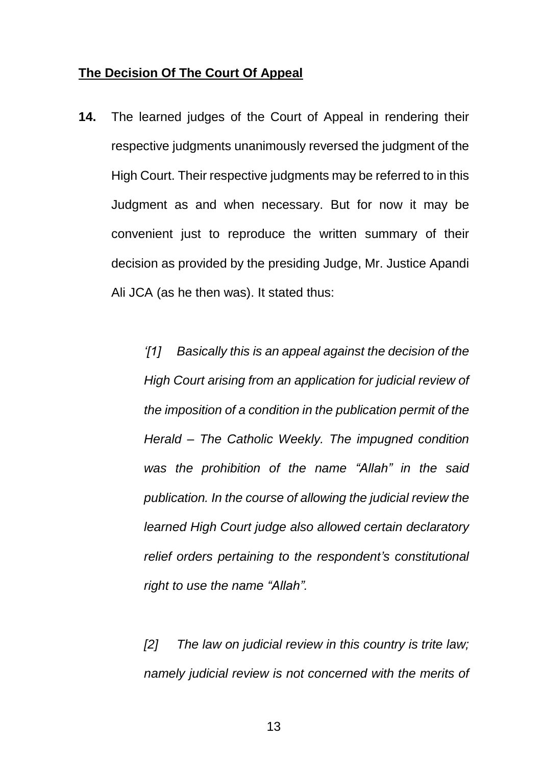#### **The Decision Of The Court Of Appeal**

**14.** The learned judges of the Court of Appeal in rendering their respective judgments unanimously reversed the judgment of the High Court. Their respective judgments may be referred to in this Judgment as and when necessary. But for now it may be convenient just to reproduce the written summary of their decision as provided by the presiding Judge, Mr. Justice Apandi Ali JCA (as he then was). It stated thus:

> *'[1] Basically this is an appeal against the decision of the High Court arising from an application for judicial review of the imposition of a condition in the publication permit of the Herald – The Catholic Weekly. The impugned condition was the prohibition of the name "Allah" in the said publication. In the course of allowing the judicial review the learned High Court judge also allowed certain declaratory relief orders pertaining to the respondent's constitutional right to use the name "Allah".*

> *[2] The law on judicial review in this country is trite law; namely judicial review is not concerned with the merits of*

> > 13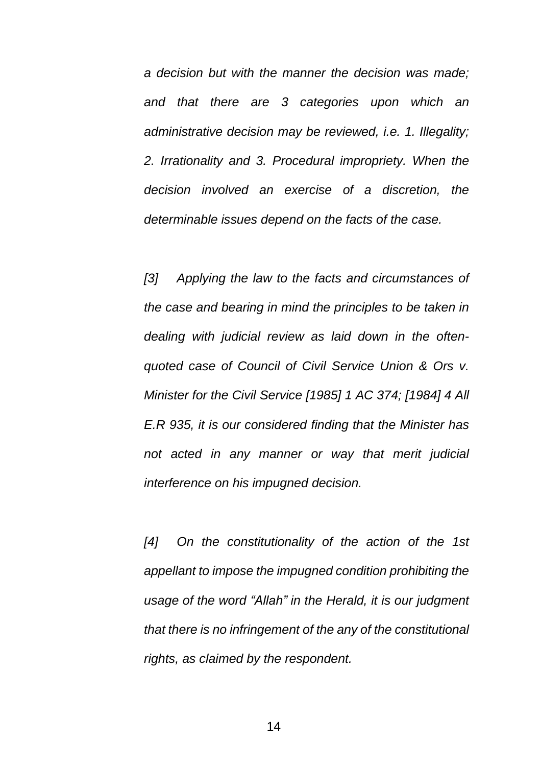*a decision but with the manner the decision was made; and that there are 3 categories upon which an administrative decision may be reviewed, i.e. 1. Illegality; 2. Irrationality and 3. Procedural impropriety. When the decision involved an exercise of a discretion, the determinable issues depend on the facts of the case.*

*[3] Applying the law to the facts and circumstances of the case and bearing in mind the principles to be taken in dealing with judicial review as laid down in the oftenquoted case of Council of Civil Service Union & Ors v. Minister for the Civil Service [1985] 1 AC 374; [1984] 4 All E.R 935, it is our considered finding that the Minister has not acted in any manner or way that merit judicial interference on his impugned decision.*

*[4] On the constitutionality of the action of the 1st appellant to impose the impugned condition prohibiting the usage of the word "Allah" in the Herald, it is our judgment that there is no infringement of the any of the constitutional rights, as claimed by the respondent.*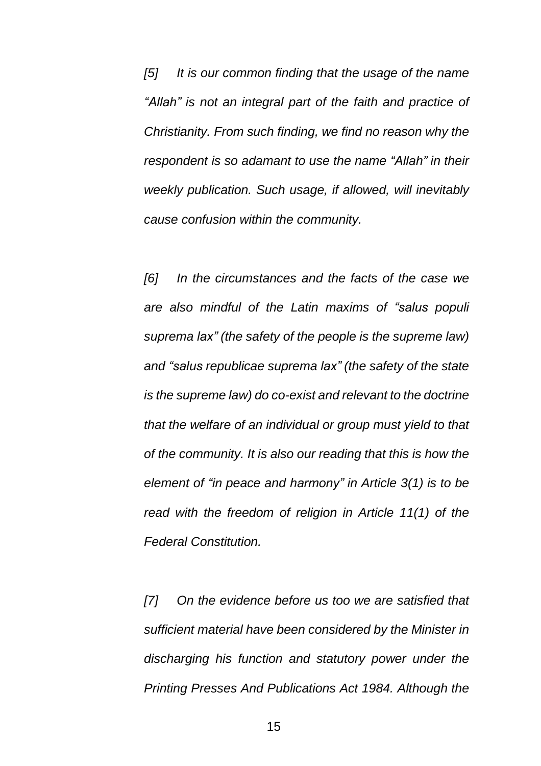*[5] It is our common finding that the usage of the name "Allah" is not an integral part of the faith and practice of Christianity. From such finding, we find no reason why the respondent is so adamant to use the name "Allah" in their weekly publication. Such usage, if allowed, will inevitably cause confusion within the community.*

*[6] In the circumstances and the facts of the case we are also mindful of the Latin maxims of "salus populi suprema lax" (the safety of the people is the supreme law) and "salus republicae suprema lax" (the safety of the state is the supreme law) do co-exist and relevant to the doctrine that the welfare of an individual or group must yield to that of the community. It is also our reading that this is how the element of "in peace and harmony" in Article 3(1) is to be read with the freedom of religion in Article 11(1) of the Federal Constitution.*

*[7] On the evidence before us too we are satisfied that sufficient material have been considered by the Minister in discharging his function and statutory power under the Printing Presses And Publications Act 1984. Although the*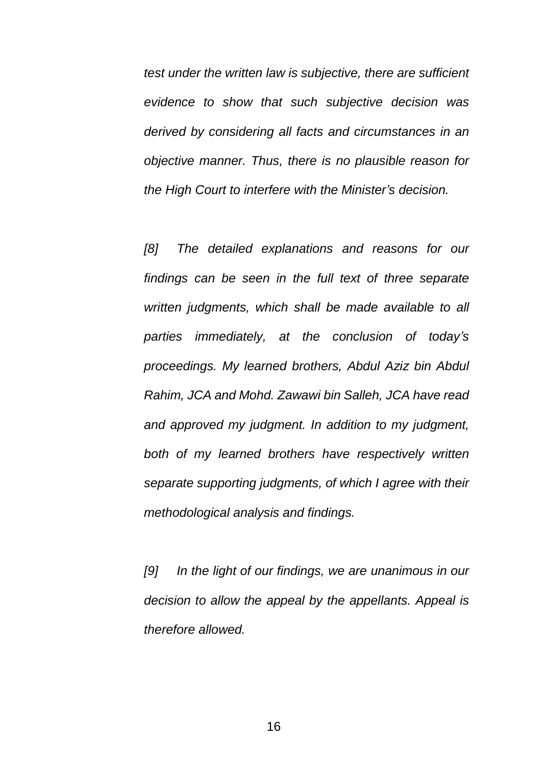*test under the written law is subjective, there are sufficient evidence to show that such subjective decision was derived by considering all facts and circumstances in an objective manner. Thus, there is no plausible reason for the High Court to interfere with the Minister's decision.*

*[8] The detailed explanations and reasons for our findings can be seen in the full text of three separate written judgments, which shall be made available to all parties immediately, at the conclusion of today's proceedings. My learned brothers, Abdul Aziz bin Abdul Rahim, JCA and Mohd. Zawawi bin Salleh, JCA have read and approved my judgment. In addition to my judgment, both of my learned brothers have respectively written separate supporting judgments, of which I agree with their methodological analysis and findings.*

*[9] In the light of our findings, we are unanimous in our decision to allow the appeal by the appellants. Appeal is therefore allowed.*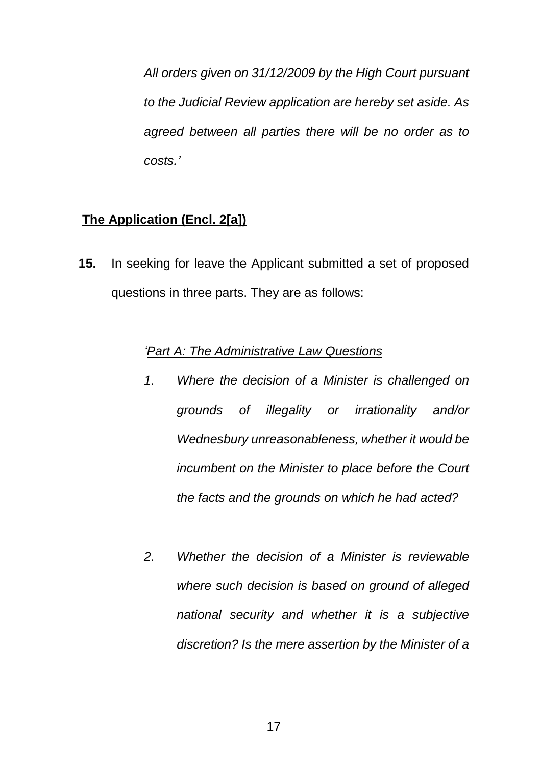*All orders given on 31/12/2009 by the High Court pursuant to the Judicial Review application are hereby set aside. As agreed between all parties there will be no order as to costs.'*

# **The Application (Encl. 2[a])**

**15.** In seeking for leave the Applicant submitted a set of proposed questions in three parts. They are as follows:

#### *'Part A: The Administrative Law Questions*

- *1. Where the decision of a Minister is challenged on grounds of illegality or irrationality and/or Wednesbury unreasonableness, whether it would be incumbent on the Minister to place before the Court the facts and the grounds on which he had acted?*
- *2. Whether the decision of a Minister is reviewable where such decision is based on ground of alleged national security and whether it is a subjective discretion? Is the mere assertion by the Minister of a*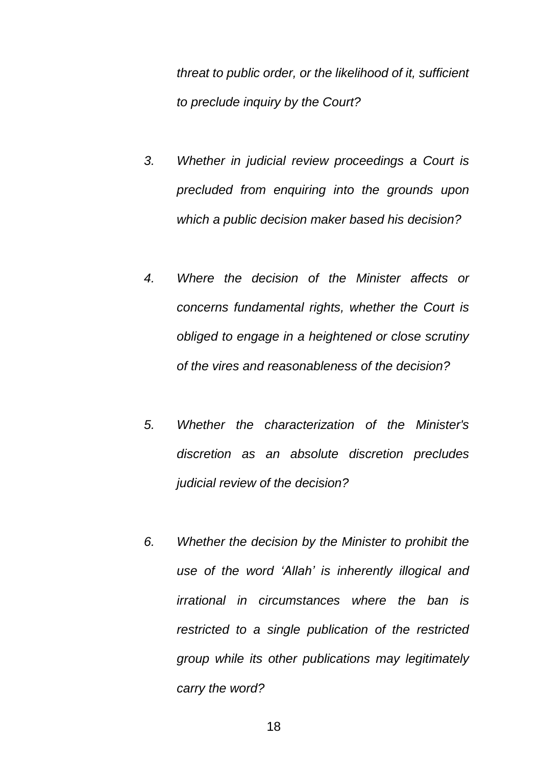*threat to public order, or the likelihood of it, sufficient to preclude inquiry by the Court?*

- *3. Whether in judicial review proceedings a Court is precluded from enquiring into the grounds upon which a public decision maker based his decision?*
- *4. Where the decision of the Minister affects or concerns fundamental rights, whether the Court is obliged to engage in a heightened or close scrutiny of the vires and reasonableness of the decision?*
- *5. Whether the characterization of the Minister's discretion as an absolute discretion precludes judicial review of the decision?*
- *6. Whether the decision by the Minister to prohibit the use of the word 'Allah' is inherently illogical and irrational in circumstances where the ban is restricted to a single publication of the restricted group while its other publications may legitimately carry the word?*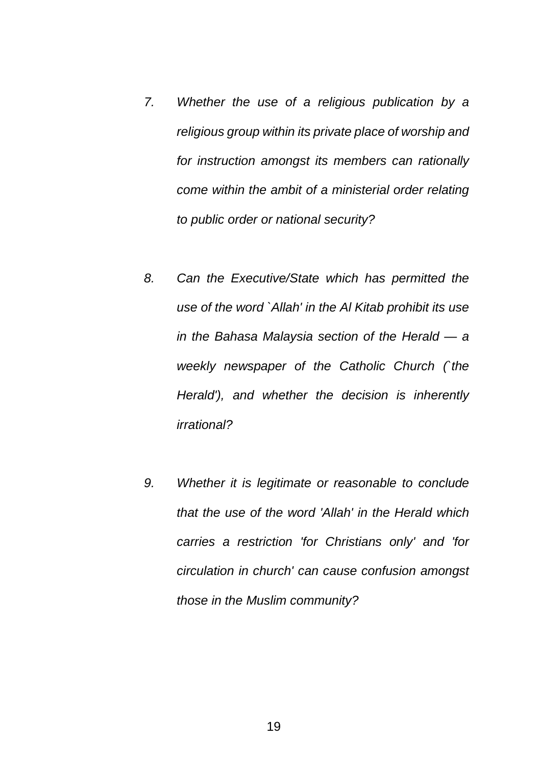- *7. Whether the use of a religious publication by a religious group within its private place of worship and for instruction amongst its members can rationally come within the ambit of a ministerial order relating to public order or national security?*
- *8. Can the Executive/State which has permitted the use of the word `Allah' in the Al Kitab prohibit its use in the Bahasa Malaysia section of the Herald — a weekly newspaper of the Catholic Church (`the Herald'), and whether the decision is inherently irrational?*
- *9. Whether it is legitimate or reasonable to conclude that the use of the word 'Allah' in the Herald which carries a restriction 'for Christians only' and 'for circulation in church' can cause confusion amongst those in the Muslim community?*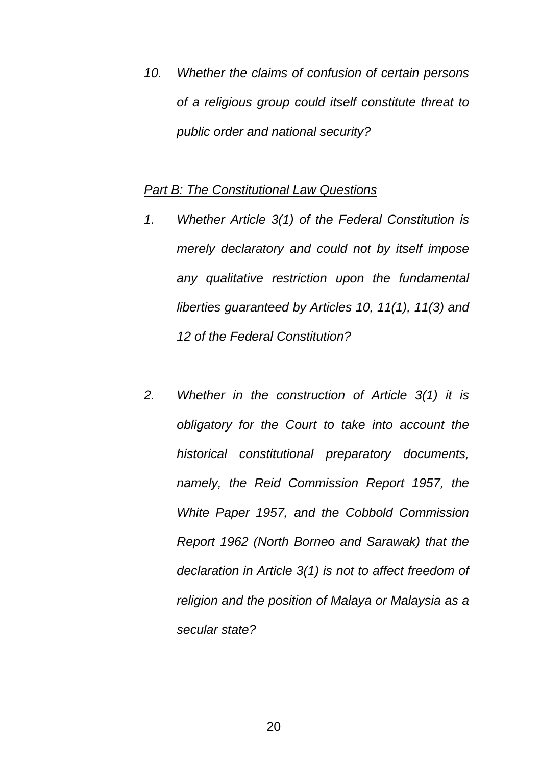*10. Whether the claims of confusion of certain persons of a religious group could itself constitute threat to public order and national security?*

#### *Part B: The Constitutional Law Questions*

- *1. Whether Article 3(1) of the Federal Constitution is merely declaratory and could not by itself impose any qualitative restriction upon the fundamental liberties guaranteed by Articles 10, 11(1), 11(3) and 12 of the Federal Constitution?*
- *2. Whether in the construction of Article 3(1) it is obligatory for the Court to take into account the historical constitutional preparatory documents, namely, the Reid Commission Report 1957, the White Paper 1957, and the Cobbold Commission Report 1962 (North Borneo and Sarawak) that the declaration in Article 3(1) is not to affect freedom of religion and the position of Malaya or Malaysia as a secular state?*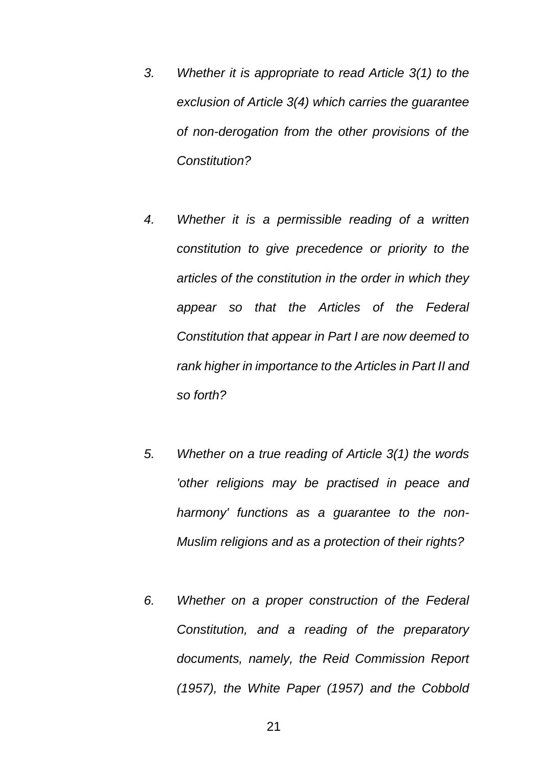- *3. Whether it is appropriate to read Article 3(1) to the exclusion of Article 3(4) which carries the guarantee of non-derogation from the other provisions of the Constitution?*
- *4. Whether it is a permissible reading of a written constitution to give precedence or priority to the articles of the constitution in the order in which they appear so that the Articles of the Federal Constitution that appear in Part I are now deemed to rank higher in importance to the Articles in Part II and so forth?*
- *5. Whether on a true reading of Article 3(1) the words 'other religions may be practised in peace and harmony' functions as a guarantee to the non-Muslim religions and as a protection of their rights?*
- *6. Whether on a proper construction of the Federal Constitution, and a reading of the preparatory documents, namely, the Reid Commission Report (1957), the White Paper (1957) and the Cobbold*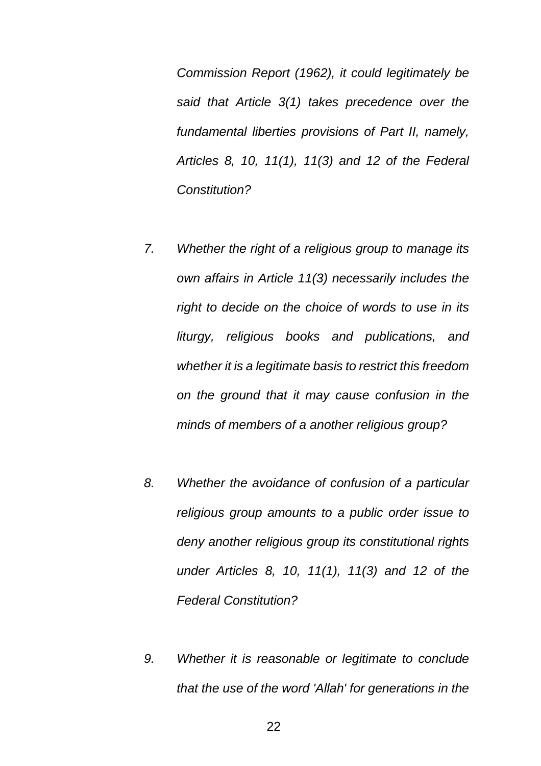*Commission Report (1962), it could legitimately be said that Article 3(1) takes precedence over the fundamental liberties provisions of Part II, namely, Articles 8, 10, 11(1), 11(3) and 12 of the Federal Constitution?*

- *7. Whether the right of a religious group to manage its own affairs in Article 11(3) necessarily includes the right to decide on the choice of words to use in its liturgy, religious books and publications, and whether it is a legitimate basis to restrict this freedom on the ground that it may cause confusion in the minds of members of a another religious group?*
- *8. Whether the avoidance of confusion of a particular religious group amounts to a public order issue to deny another religious group its constitutional rights under Articles 8, 10, 11(1), 11(3) and 12 of the Federal Constitution?*
- *9. Whether it is reasonable or legitimate to conclude that the use of the word 'Allah' for generations in the*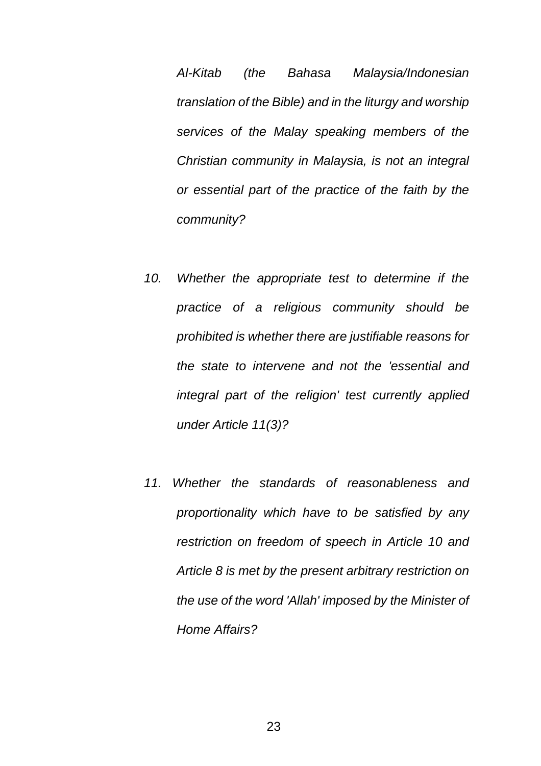*Al-Kitab (the Bahasa Malaysia/Indonesian translation of the Bible) and in the liturgy and worship services of the Malay speaking members of the Christian community in Malaysia, is not an integral or essential part of the practice of the faith by the community?*

- *10. Whether the appropriate test to determine if the practice of a religious community should be prohibited is whether there are justifiable reasons for the state to intervene and not the 'essential and integral part of the religion' test currently applied under Article 11(3)?*
- *11. Whether the standards of reasonableness and proportionality which have to be satisfied by any restriction on freedom of speech in Article 10 and Article 8 is met by the present arbitrary restriction on the use of the word 'Allah' imposed by the Minister of Home Affairs?*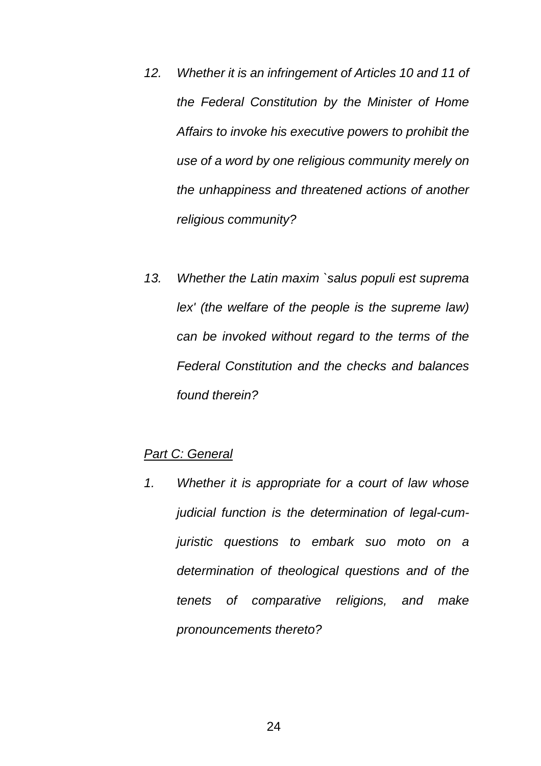- *12. Whether it is an infringement of Articles 10 and 11 of the Federal Constitution by the Minister of Home Affairs to invoke his executive powers to prohibit the use of a word by one religious community merely on the unhappiness and threatened actions of another religious community?*
- *13. Whether the Latin maxim `salus populi est suprema lex' (the welfare of the people is the supreme law) can be invoked without regard to the terms of the Federal Constitution and the checks and balances found therein?*

### *Part C: General*

*1. Whether it is appropriate for a court of law whose judicial function is the determination of legal-cumjuristic questions to embark suo moto on a determination of theological questions and of the tenets of comparative religions, and make pronouncements thereto?*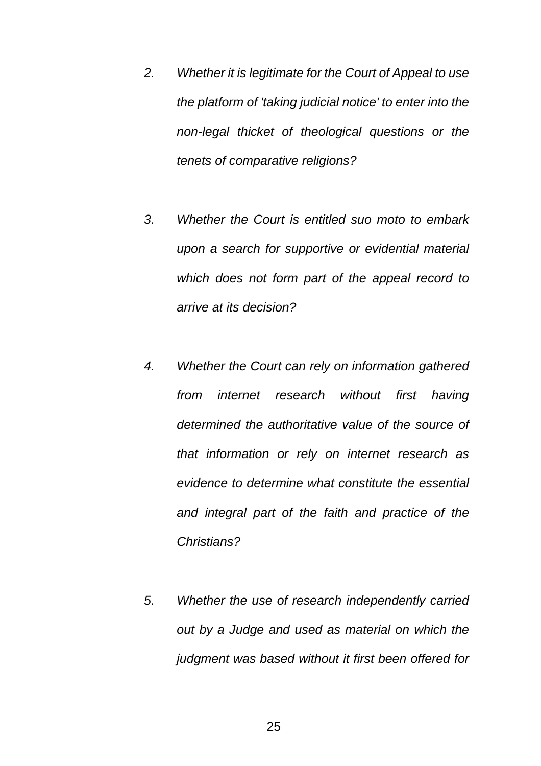- *2. Whether it is legitimate for the Court of Appeal to use the platform of 'taking judicial notice' to enter into the non-legal thicket of theological questions or the tenets of comparative religions?*
- *3. Whether the Court is entitled suo moto to embark upon a search for supportive or evidential material which does not form part of the appeal record to arrive at its decision?*
- *4. Whether the Court can rely on information gathered from internet research without first having determined the authoritative value of the source of that information or rely on internet research as evidence to determine what constitute the essential and integral part of the faith and practice of the Christians?*
- *5. Whether the use of research independently carried out by a Judge and used as material on which the judgment was based without it first been offered for*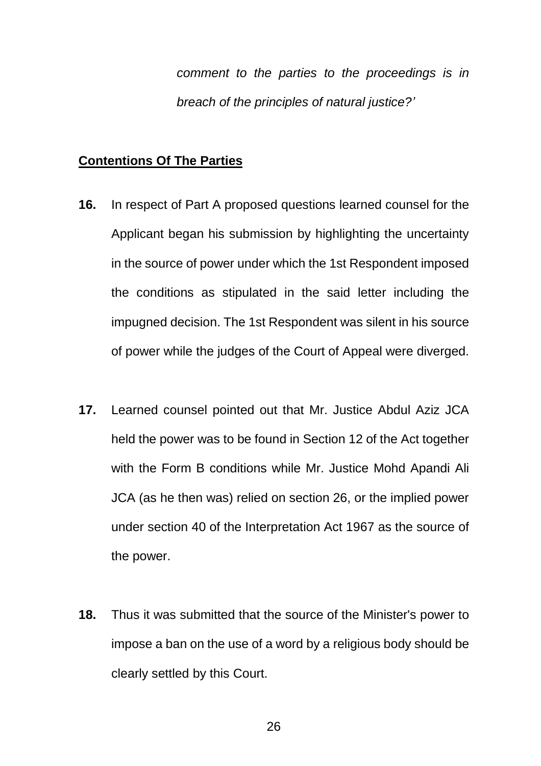*comment to the parties to the proceedings is in breach of the principles of natural justice?'*

#### **Contentions Of The Parties**

- **16.** In respect of Part A proposed questions learned counsel for the Applicant began his submission by highlighting the uncertainty in the source of power under which the 1st Respondent imposed the conditions as stipulated in the said letter including the impugned decision. The 1st Respondent was silent in his source of power while the judges of the Court of Appeal were diverged.
- **17.** Learned counsel pointed out that Mr. Justice Abdul Aziz JCA held the power was to be found in Section 12 of the Act together with the Form B conditions while Mr. Justice Mohd Apandi Ali JCA (as he then was) relied on section 26, or the implied power under section 40 of the Interpretation Act 1967 as the source of the power.
- **18.** Thus it was submitted that the source of the Minister's power to impose a ban on the use of a word by a religious body should be clearly settled by this Court.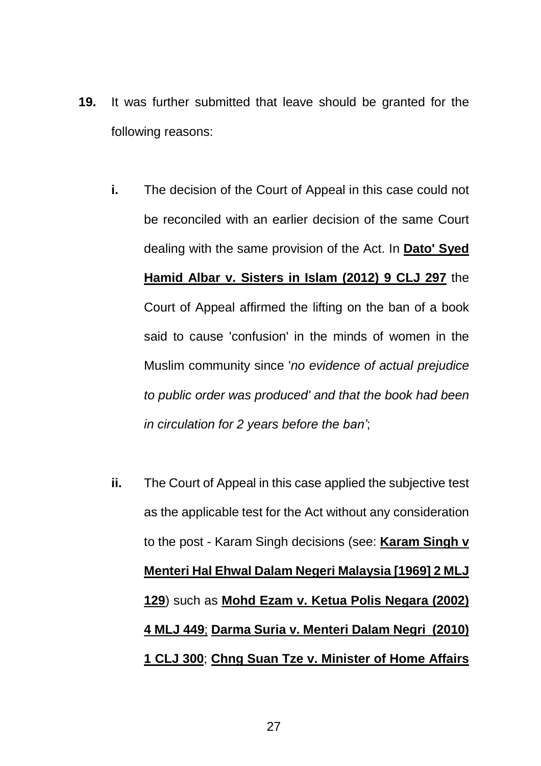- **19.** It was further submitted that leave should be granted for the following reasons:
	- **i.** The decision of the Court of Appeal in this case could not be reconciled with an earlier decision of the same Court dealing with the same provision of the Act. In **Dato' Syed Hamid Albar v. Sisters in Islam (2012) 9 CLJ 297** the Court of Appeal affirmed the lifting on the ban of a book said to cause 'confusion' in the minds of women in the Muslim community since '*no evidence of actual prejudice to public order was produced' and that the book had been in circulation for 2 years before the ban'*;
	- **ii.** The Court of Appeal in this case applied the subjective test as the applicable test for the Act without any consideration to the post - Karam Singh decisions (see: **Karam Singh v Menteri Hal Ehwal Dalam Negeri Malaysia [1969] 2 MLJ 129**) such as **Mohd Ezam v. Ketua Polis Negara (2002) 4 MLJ 449**; **Darma Suria v. Menteri Dalam Negri (2010) 1 CLJ 300**; **Chng Suan Tze v. Minister of Home Affairs**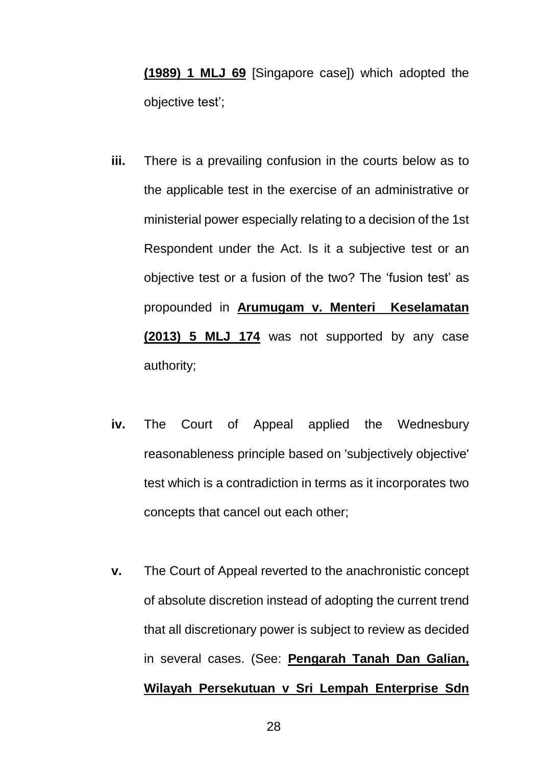**(1989) 1 MLJ 69** [Singapore case]) which adopted the objective test';

- **iii.** There is a prevailing confusion in the courts below as to the applicable test in the exercise of an administrative or ministerial power especially relating to a decision of the 1st Respondent under the Act. Is it a subjective test or an objective test or a fusion of the two? The 'fusion test' as propounded in **Arumugam v. Menteri Keselamatan (2013) 5 MLJ 174** was not supported by any case authority;
- **iv.** The Court of Appeal applied the Wednesbury reasonableness principle based on 'subjectively objective' test which is a contradiction in terms as it incorporates two concepts that cancel out each other;
- **v.** The Court of Appeal reverted to the anachronistic concept of absolute discretion instead of adopting the current trend that all discretionary power is subject to review as decided in several cases. (See: **Pengarah Tanah Dan Galian, Wilayah Persekutuan v Sri Lempah Enterprise Sdn**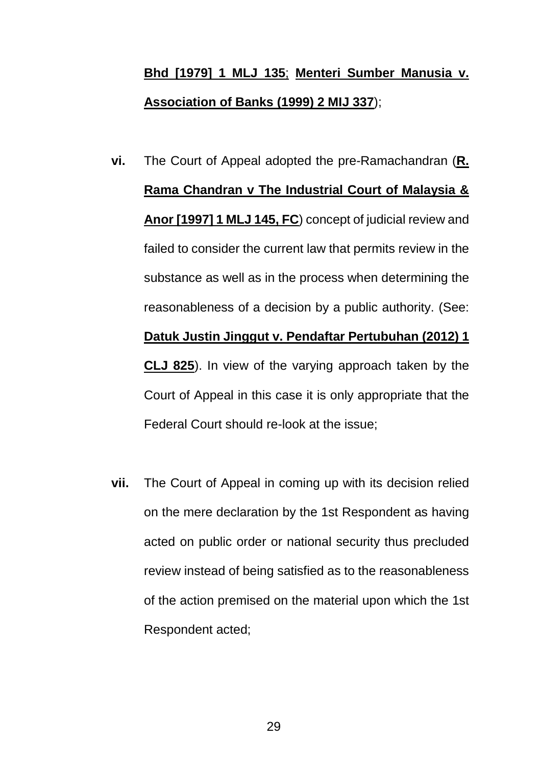# **Bhd [1979] 1 MLJ 135**; **Menteri Sumber Manusia v. Association of Banks (1999) 2 MIJ 337**);

- **vi.** The Court of Appeal adopted the pre-Ramachandran (**R. Rama Chandran v The Industrial Court of Malaysia & Anor [1997] 1 MLJ 145, FC**) concept of judicial review and failed to consider the current law that permits review in the substance as well as in the process when determining the reasonableness of a decision by a public authority. (See: **Datuk Justin Jinggut v. Pendaftar Pertubuhan (2012) 1 CLJ 825**). In view of the varying approach taken by the Court of Appeal in this case it is only appropriate that the Federal Court should re-look at the issue;
- **vii.** The Court of Appeal in coming up with its decision relied on the mere declaration by the 1st Respondent as having acted on public order or national security thus precluded review instead of being satisfied as to the reasonableness of the action premised on the material upon which the 1st Respondent acted;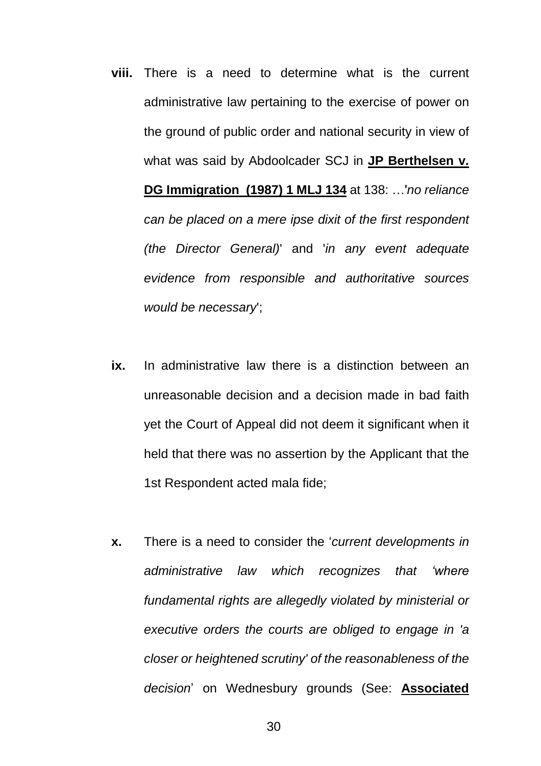- **viii.** There is a need to determine what is the current administrative law pertaining to the exercise of power on the ground of public order and national security in view of what was said by Abdoolcader SCJ in **JP Berthelsen v. DG Immigration (1987) 1 MLJ 134** at 138: …'*no reliance can be placed on a mere ipse dixit of the first respondent (the Director General)*' and '*in any event adequate evidence from responsible and authoritative sources would be necessary*';
- **ix.** In administrative law there is a distinction between an unreasonable decision and a decision made in bad faith yet the Court of Appeal did not deem it significant when it held that there was no assertion by the Applicant that the 1st Respondent acted mala fide;
- **x.** There is a need to consider the '*current developments in administrative law which recognizes that 'where fundamental rights are allegedly violated by ministerial or executive orders the courts are obliged to engage in 'a closer or heightened scrutiny' of the reasonableness of the decision*' on Wednesbury grounds (See: **Associated**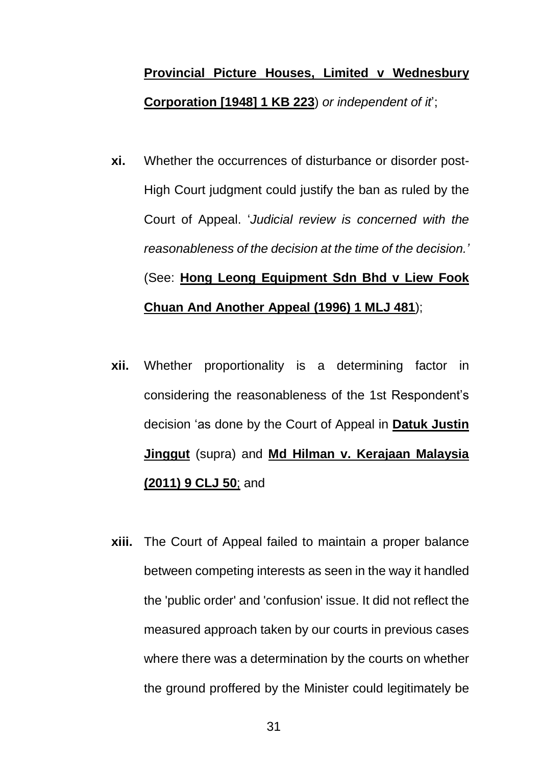# **Provincial Picture Houses, Limited v Wednesbury Corporation [1948] 1 KB 223**) *or independent of it*';

- **xi.** Whether the occurrences of disturbance or disorder post-High Court judgment could justify the ban as ruled by the Court of Appeal. '*Judicial review is concerned with the reasonableness of the decision at the time of the decision.'* (See: **Hong Leong Equipment Sdn Bhd v Liew Fook Chuan And Another Appeal (1996) 1 MLJ 481**);
- **xii.** Whether proportionality is a determining factor in considering the reasonableness of the 1st Respondent's decision 'as done by the Court of Appeal in **Datuk Justin Jinggut** (supra) and **Md Hilman v. Kerajaan Malaysia (2011) 9 CLJ 50**; and
- **xiii.** The Court of Appeal failed to maintain a proper balance between competing interests as seen in the way it handled the 'public order' and 'confusion' issue. It did not reflect the measured approach taken by our courts in previous cases where there was a determination by the courts on whether the ground proffered by the Minister could legitimately be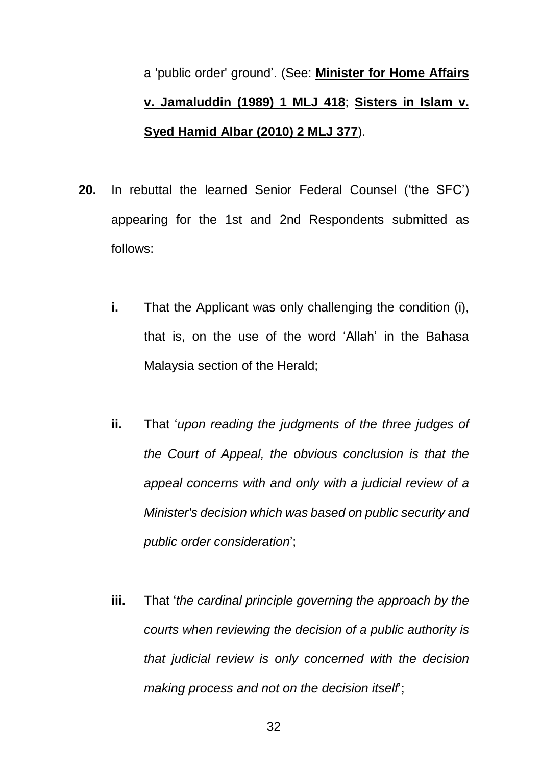a 'public order' ground'. (See: **Minister for Home Affairs v. Jamaluddin (1989) 1 MLJ 418**; **Sisters in Islam v. Syed Hamid Albar (2010) 2 MLJ 377**).

- **20.** In rebuttal the learned Senior Federal Counsel ('the SFC') appearing for the 1st and 2nd Respondents submitted as follows:
	- **i.** That the Applicant was only challenging the condition (i), that is, on the use of the word 'Allah' in the Bahasa Malaysia section of the Herald;
	- **ii.** That '*upon reading the judgments of the three judges of the Court of Appeal, the obvious conclusion is that the appeal concerns with and only with a judicial review of a Minister's decision which was based on public security and public order consideration*';
	- **iii.** That '*the cardinal principle governing the approach by the courts when reviewing the decision of a public authority is that judicial review is only concerned with the decision making process and not on the decision itself*';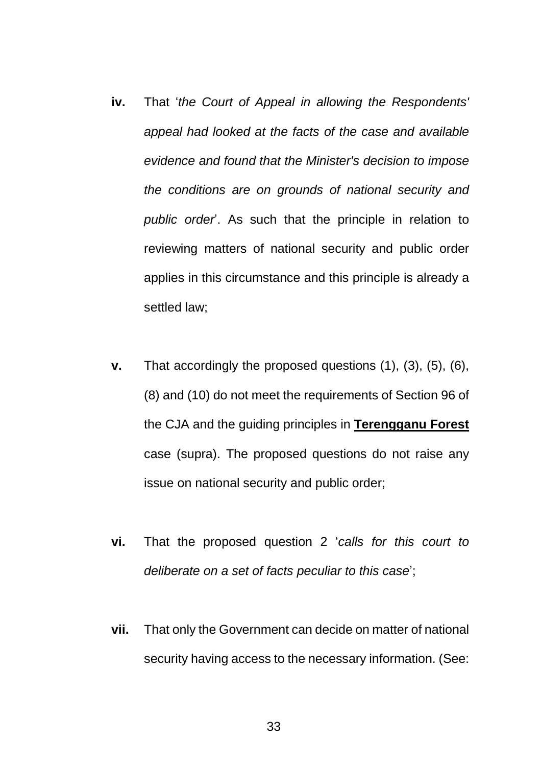- **iv.** That '*the Court of Appeal in allowing the Respondents' appeal had looked at the facts of the case and available evidence and found that the Minister's decision to impose the conditions are on grounds of national security and public order*'. As such that the principle in relation to reviewing matters of national security and public order applies in this circumstance and this principle is already a settled law;
- **v.** That accordingly the proposed questions (1), (3), (5), (6), (8) and (10) do not meet the requirements of Section 96 of the CJA and the guiding principles in **Terengganu Forest** case (supra). The proposed questions do not raise any issue on national security and public order;
- **vi.** That the proposed question 2 '*calls for this court to deliberate on a set of facts peculiar to this case*';
- **vii.** That only the Government can decide on matter of national security having access to the necessary information. (See: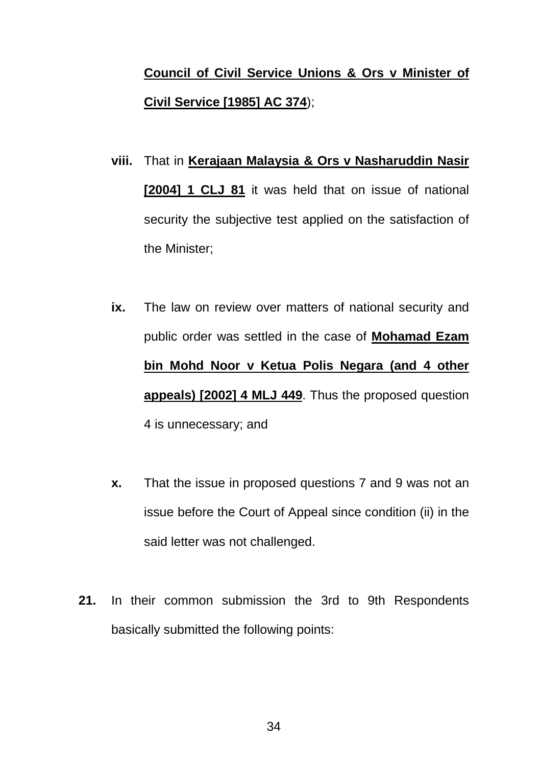# **Council of Civil Service Unions & Ors v Minister of Civil Service [1985] AC 374**);

- **viii.** That in **Kerajaan Malaysia & Ors v Nasharuddin Nasir [2004] 1 CLJ 81** it was held that on issue of national security the subjective test applied on the satisfaction of the Minister;
- **ix.** The law on review over matters of national security and public order was settled in the case of **Mohamad Ezam bin Mohd Noor v Ketua Polis Negara (and 4 other appeals) [2002] 4 MLJ 449**. Thus the proposed question 4 is unnecessary; and
- **x.** That the issue in proposed questions 7 and 9 was not an issue before the Court of Appeal since condition (ii) in the said letter was not challenged.
- **21.** In their common submission the 3rd to 9th Respondents basically submitted the following points: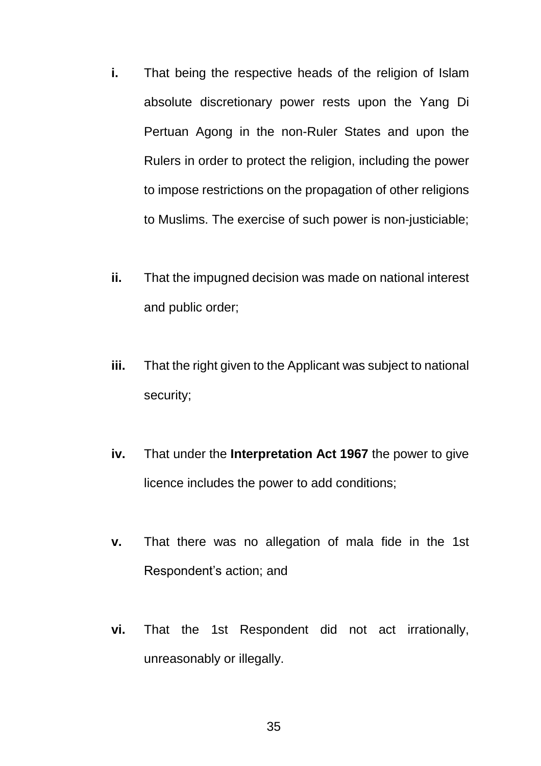- **i.** That being the respective heads of the religion of Islam absolute discretionary power rests upon the Yang Di Pertuan Agong in the non-Ruler States and upon the Rulers in order to protect the religion, including the power to impose restrictions on the propagation of other religions to Muslims. The exercise of such power is non-justiciable;
- **ii.** That the impugned decision was made on national interest and public order;
- **iii.** That the right given to the Applicant was subject to national security;
- **iv.** That under the **Interpretation Act 1967** the power to give licence includes the power to add conditions;
- **v.** That there was no allegation of mala fide in the 1st Respondent's action; and
- **vi.** That the 1st Respondent did not act irrationally, unreasonably or illegally.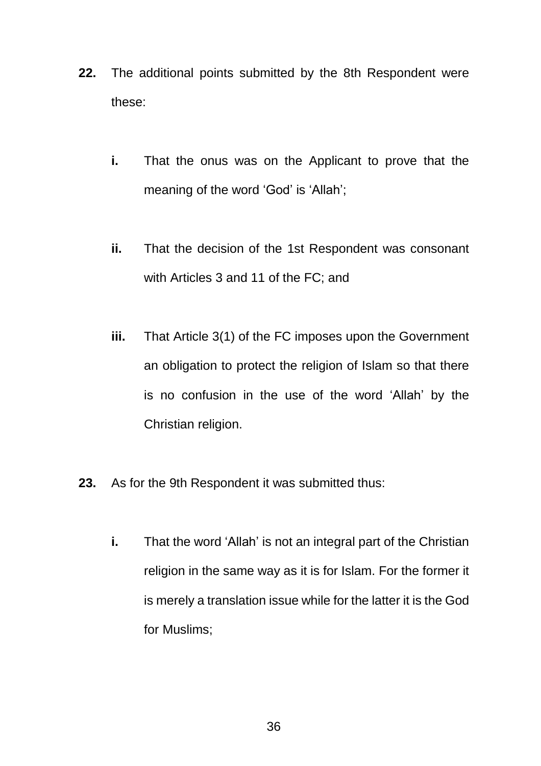- **22.** The additional points submitted by the 8th Respondent were these:
	- **i.** That the onus was on the Applicant to prove that the meaning of the word 'God' is 'Allah';
	- **ii.** That the decision of the 1st Respondent was consonant with Articles 3 and 11 of the FC; and
	- **iii.** That Article 3(1) of the FC imposes upon the Government an obligation to protect the religion of Islam so that there is no confusion in the use of the word 'Allah' by the Christian religion.
- **23.** As for the 9th Respondent it was submitted thus:
	- **i.** That the word 'Allah' is not an integral part of the Christian religion in the same way as it is for Islam. For the former it is merely a translation issue while for the latter it is the God for Muslims;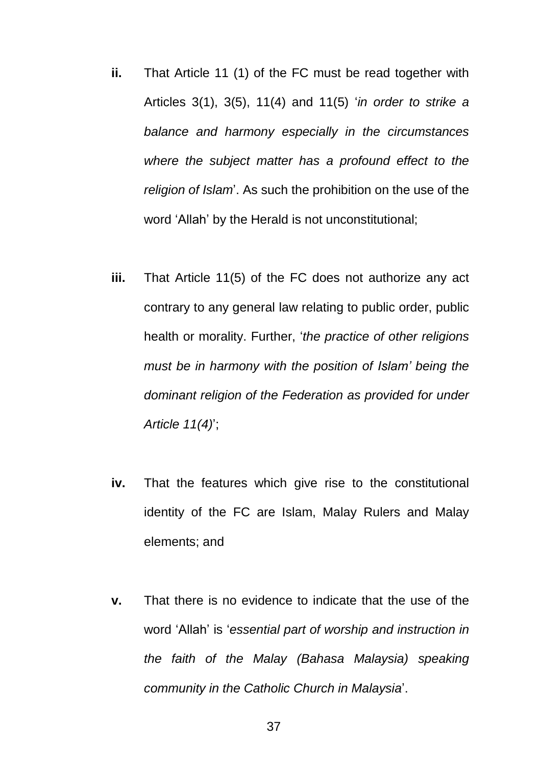- **ii.** That Article 11 (1) of the FC must be read together with Articles 3(1), 3(5), 11(4) and 11(5) '*in order to strike a balance and harmony especially in the circumstances where the subject matter has a profound effect to the religion of Islam*'. As such the prohibition on the use of the word 'Allah' by the Herald is not unconstitutional;
- **iii.** That Article 11(5) of the FC does not authorize any act contrary to any general law relating to public order, public health or morality. Further, '*the practice of other religions must be in harmony with the position of Islam' being the dominant religion of the Federation as provided for under Article 11(4)*';
- **iv.** That the features which give rise to the constitutional identity of the FC are Islam, Malay Rulers and Malay elements; and
- **v.** That there is no evidence to indicate that the use of the word 'Allah' is '*essential part of worship and instruction in the faith of the Malay (Bahasa Malaysia) speaking community in the Catholic Church in Malaysia*'.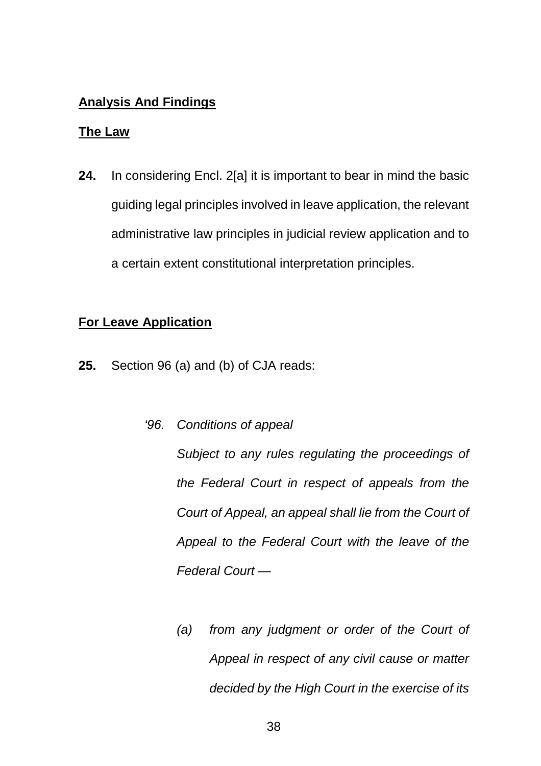# **Analysis And Findings**

### **The Law**

**24.** In considering Encl. 2[a] it is important to bear in mind the basic guiding legal principles involved in leave application, the relevant administrative law principles in judicial review application and to a certain extent constitutional interpretation principles.

# **For Leave Application**

- **25.** Section 96 (a) and (b) of CJA reads:
	- *'96. Conditions of appeal*

*Subject to any rules regulating the proceedings of the Federal Court in respect of appeals from the Court of Appeal, an appeal shall lie from the Court of Appeal to the Federal Court with the leave of the Federal Court —*

*(a) from any judgment or order of the Court of Appeal in respect of any civil cause or matter decided by the High Court in the exercise of its*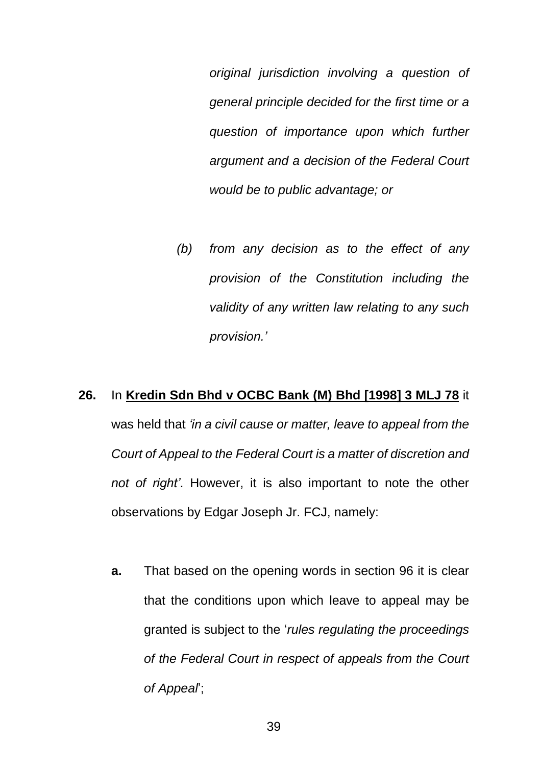*original jurisdiction involving a question of general principle decided for the first time or a question of importance upon which further argument and a decision of the Federal Court would be to public advantage; or*

*(b) from any decision as to the effect of any provision of the Constitution including the validity of any written law relating to any such provision.'*

# **26.** In **Kredin Sdn Bhd v OCBC Bank (M) Bhd [1998] 3 MLJ 78** it was held that *'in a civil cause or matter, leave to appeal from the Court of Appeal to the Federal Court is a matter of discretion and not of right'*. However, it is also important to note the other observations by Edgar Joseph Jr. FCJ, namely:

**a.** That based on the opening words in section 96 it is clear that the conditions upon which leave to appeal may be granted is subject to the '*rules regulating the proceedings of the Federal Court in respect of appeals from the Court of Appeal*';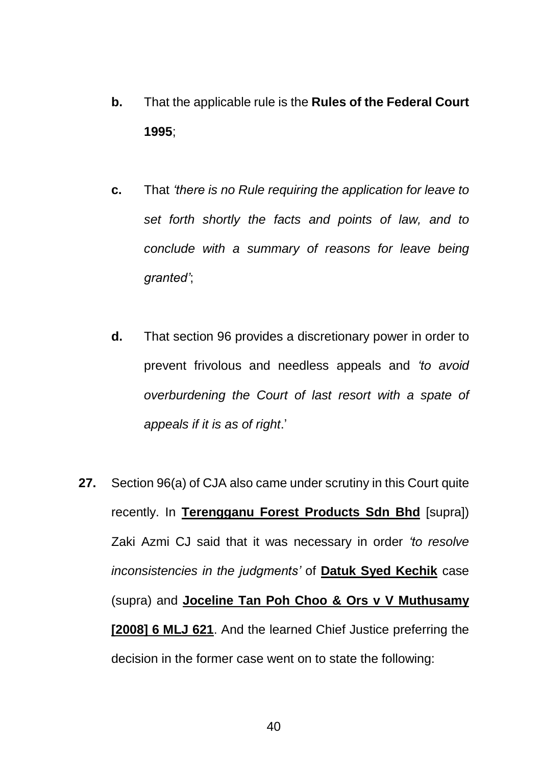- **b.** That the applicable rule is the **Rules of the Federal Court 1995**;
- **c.** That *'there is no Rule requiring the application for leave to set forth shortly the facts and points of law, and to conclude with a summary of reasons for leave being granted'*;
- **d.** That section 96 provides a discretionary power in order to prevent frivolous and needless appeals and *'to avoid overburdening the Court of last resort with a spate of appeals if it is as of right*.'
- **27.** Section 96(a) of CJA also came under scrutiny in this Court quite recently. In **Terengganu Forest Products Sdn Bhd** [supra]) Zaki Azmi CJ said that it was necessary in order *'to resolve inconsistencies in the judgments'* of **Datuk Syed Kechik** case (supra) and **Joceline Tan Poh Choo & Ors v V Muthusamy [2008] 6 MLJ 621**. And the learned Chief Justice preferring the decision in the former case went on to state the following: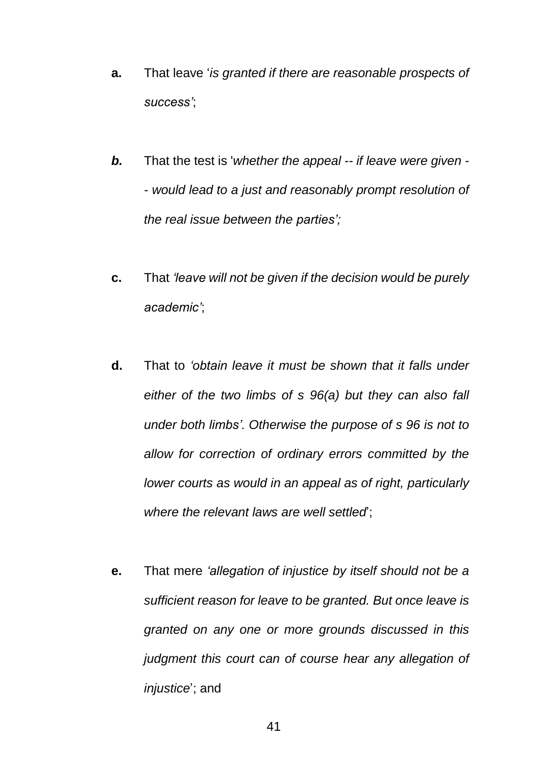- **a.** That leave '*is granted if there are reasonable prospects of success'*;
- *b.* That the test is '*whether the appeal -- if leave were given - - would lead to a just and reasonably prompt resolution of the real issue between the parties';*
- **c.** That *'leave will not be given if the decision would be purely academic'*;
- **d.** That to *'obtain leave it must be shown that it falls under either of the two limbs of s 96(a) but they can also fall under both limbs'. Otherwise the purpose of s 96 is not to allow for correction of ordinary errors committed by the lower courts as would in an appeal as of right, particularly where the relevant laws are well settled*';
- **e.** That mere *'allegation of injustice by itself should not be a sufficient reason for leave to be granted. But once leave is granted on any one or more grounds discussed in this judgment this court can of course hear any allegation of injustice*'; and

41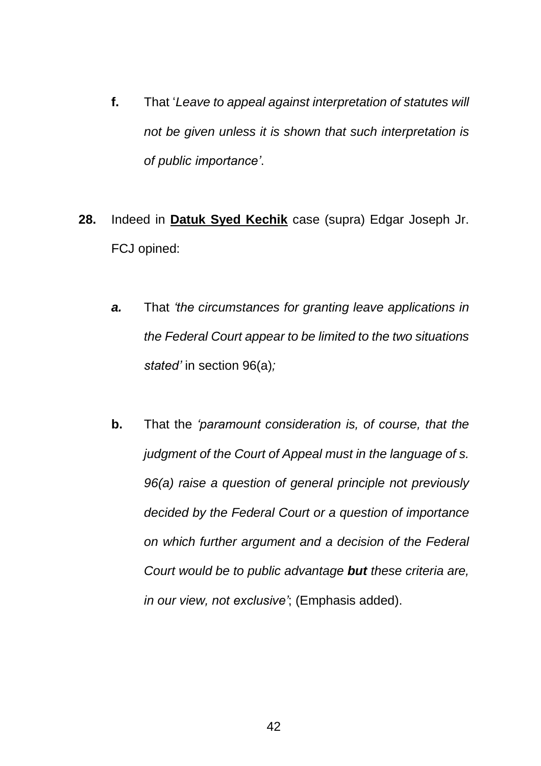- **f.** That '*Leave to appeal against interpretation of statutes will not be given unless it is shown that such interpretation is of public importance'*.
- **28.** Indeed in **Datuk Syed Kechik** case (supra) Edgar Joseph Jr. FCJ opined:
	- *a.* That *'the circumstances for granting leave applications in the Federal Court appear to be limited to the two situations stated'* in section 96(a)*;*
	- **b.** That the *'paramount consideration is, of course, that the judgment of the Court of Appeal must in the language of s. 96(a) raise a question of general principle not previously decided by the Federal Court or a question of importance on which further argument and a decision of the Federal Court would be to public advantage but these criteria are, in our view, not exclusive'*; (Emphasis added).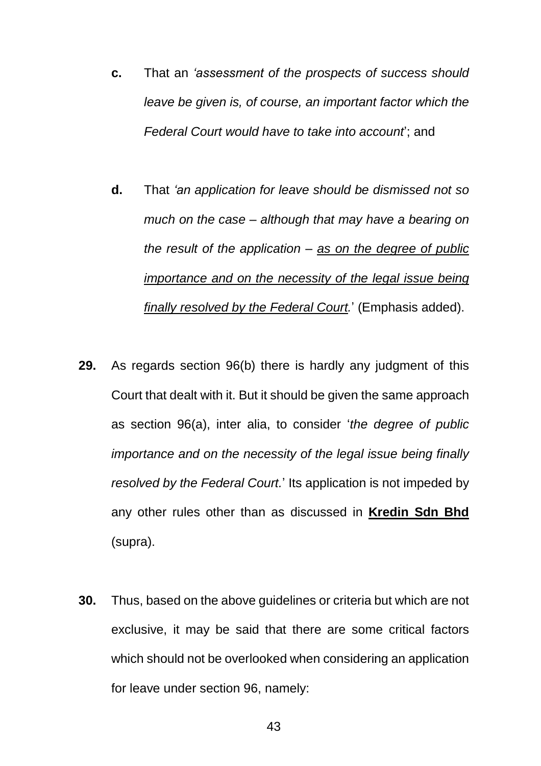- **c.** That an *'assessment of the prospects of success should leave be given is, of course, an important factor which the Federal Court would have to take into account*'; and
- **d.** That *'an application for leave should be dismissed not so much on the case – although that may have a bearing on the result of the application – as on the degree of public importance and on the necessity of the legal issue being finally resolved by the Federal Court.*' (Emphasis added).
- **29.** As regards section 96(b) there is hardly any judgment of this Court that dealt with it. But it should be given the same approach as section 96(a), inter alia, to consider '*the degree of public importance and on the necessity of the legal issue being finally resolved by the Federal Court.*' Its application is not impeded by any other rules other than as discussed in **Kredin Sdn Bhd** (supra).
- **30.** Thus, based on the above guidelines or criteria but which are not exclusive, it may be said that there are some critical factors which should not be overlooked when considering an application for leave under section 96, namely: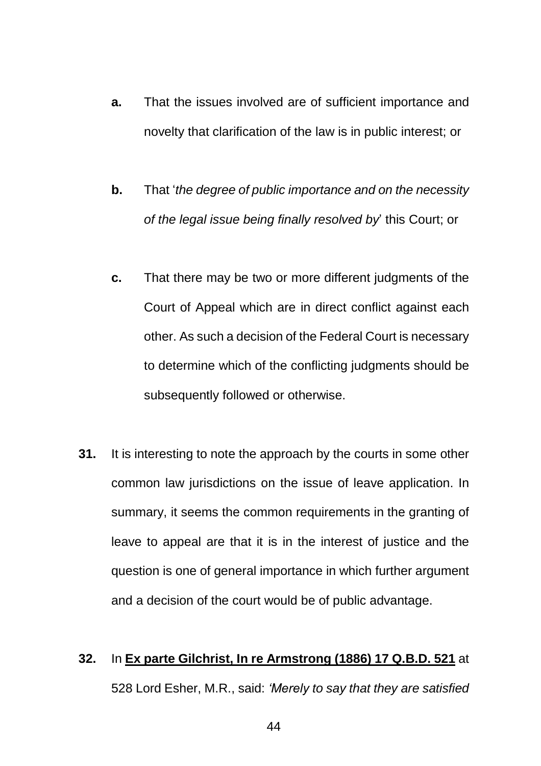- **a.** That the issues involved are of sufficient importance and novelty that clarification of the law is in public interest; or
- **b.** That '*the degree of public importance and on the necessity of the legal issue being finally resolved by*' this Court; or
- **c.** That there may be two or more different judgments of the Court of Appeal which are in direct conflict against each other. As such a decision of the Federal Court is necessary to determine which of the conflicting judgments should be subsequently followed or otherwise.
- **31.** It is interesting to note the approach by the courts in some other common law jurisdictions on the issue of leave application. In summary, it seems the common requirements in the granting of leave to appeal are that it is in the interest of justice and the question is one of general importance in which further argument and a decision of the court would be of public advantage.

# **32.** In **Ex parte Gilchrist, In re Armstrong (1886) 17 Q.B.D. 521** at 528 Lord Esher, M.R., said: *'Merely to say that they are satisfied*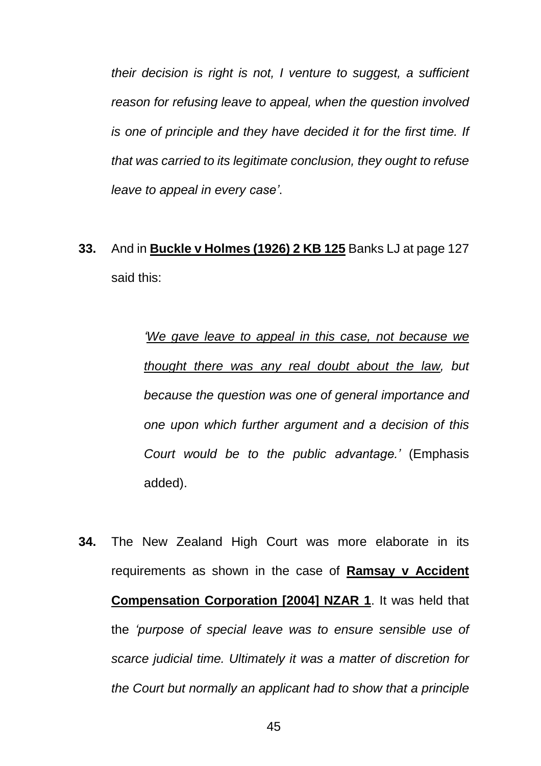*their decision is right is not, I venture to suggest, a sufficient reason for refusing leave to appeal, when the question involved is one of principle and they have decided it for the first time. If that was carried to its legitimate conclusion, they ought to refuse leave to appeal in every case'*.

**33.** And in **Buckle v Holmes (1926) 2 KB 125** Banks LJ at page 127 said this:

> *'We gave leave to appeal in this case, not because we thought there was any real doubt about the law, but because the question was one of general importance and one upon which further argument and a decision of this Court would be to the public advantage.'* (Emphasis added).

**34.** The New Zealand High Court was more elaborate in its requirements as shown in the case of **Ramsay v Accident Compensation Corporation [2004] NZAR 1**. It was held that the *'purpose of special leave was to ensure sensible use of scarce judicial time. Ultimately it was a matter of discretion for the Court but normally an applicant had to show that a principle*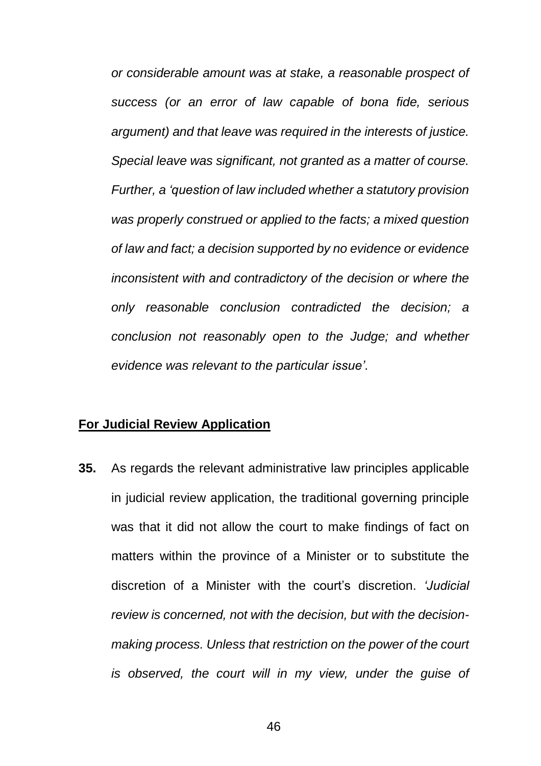*or considerable amount was at stake, a reasonable prospect of success (or an error of law capable of bona fide, serious argument) and that leave was required in the interests of justice. Special leave was significant, not granted as a matter of course. Further, a 'question of law included whether a statutory provision was properly construed or applied to the facts; a mixed question of law and fact; a decision supported by no evidence or evidence inconsistent with and contradictory of the decision or where the only reasonable conclusion contradicted the decision; a conclusion not reasonably open to the Judge; and whether evidence was relevant to the particular issue'*.

# **For Judicial Review Application**

**35.** As regards the relevant administrative law principles applicable in judicial review application, the traditional governing principle was that it did not allow the court to make findings of fact on matters within the province of a Minister or to substitute the discretion of a Minister with the court's discretion. *'Judicial review is concerned, not with the decision, but with the decisionmaking process. Unless that restriction on the power of the court is observed, the court will in my view, under the guise of*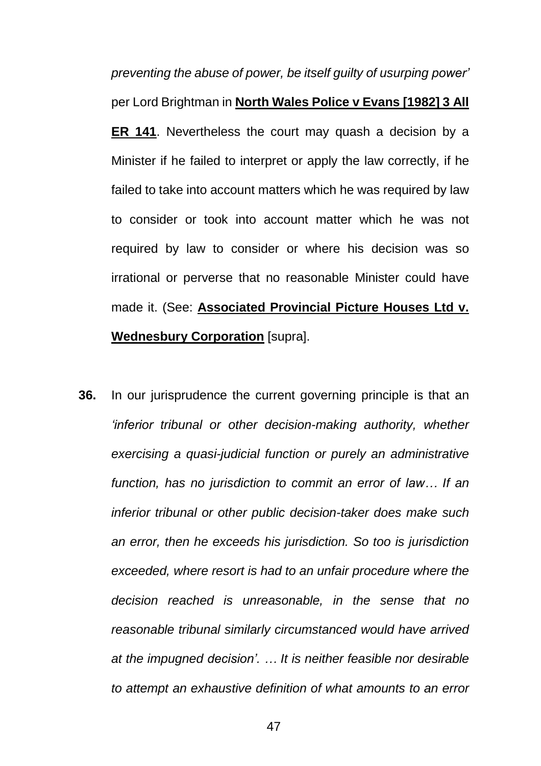*preventing the abuse of power, be itself guilty of usurping power'* per Lord Brightman in **North Wales Police v Evans [1982] 3 All ER 141**. Nevertheless the court may quash a decision by a Minister if he failed to interpret or apply the law correctly, if he failed to take into account matters which he was required by law to consider or took into account matter which he was not required by law to consider or where his decision was so irrational or perverse that no reasonable Minister could have made it. (See: **Associated Provincial Picture Houses Ltd v. Wednesbury Corporation** [supra].

**36.** In our jurisprudence the current governing principle is that an *'inferior tribunal or other decision-making authority, whether exercising a quasi-judicial function or purely an administrative function, has no jurisdiction to commit an error of law… If an inferior tribunal or other public decision-taker does make such an error, then he exceeds his jurisdiction. So too is jurisdiction exceeded, where resort is had to an unfair procedure where the decision reached is unreasonable, in the sense that no reasonable tribunal similarly circumstanced would have arrived at the impugned decision'. … It is neither feasible nor desirable to attempt an exhaustive definition of what amounts to an error*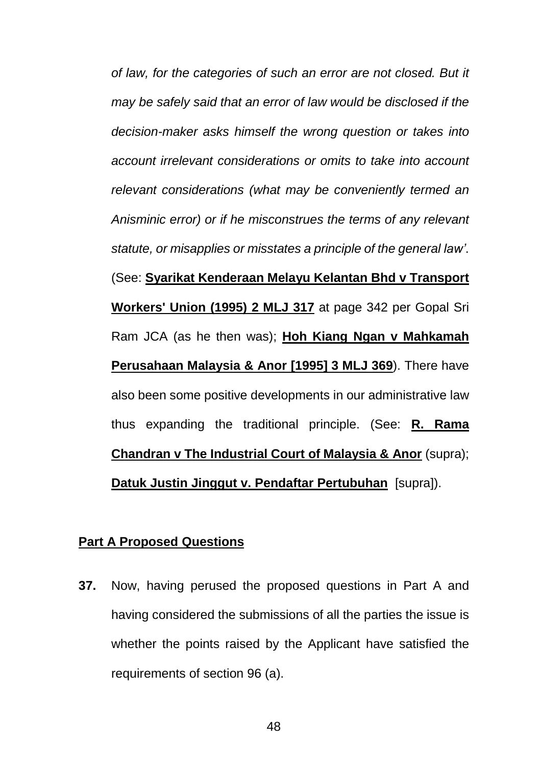*of law, for the categories of such an error are not closed. But it may be safely said that an error of law would be disclosed if the decision-maker asks himself the wrong question or takes into account irrelevant considerations or omits to take into account relevant considerations (what may be conveniently termed an Anisminic error) or if he misconstrues the terms of any relevant statute, or misapplies or misstates a principle of the general law'*. (See: **Syarikat Kenderaan Melayu Kelantan Bhd v Transport Workers' Union (1995) 2 MLJ 317** at page 342 per Gopal Sri Ram JCA (as he then was); **Hoh Kiang Ngan v Mahkamah Perusahaan Malaysia & Anor [1995] 3 MLJ 369**). There have also been some positive developments in our administrative law thus expanding the traditional principle. (See: **R. Rama Chandran v The Industrial Court of Malaysia & Anor** (supra); **Datuk Justin Jinggut v. Pendaftar Pertubuhan** [supra]).

### **Part A Proposed Questions**

**37.** Now, having perused the proposed questions in Part A and having considered the submissions of all the parties the issue is whether the points raised by the Applicant have satisfied the requirements of section 96 (a).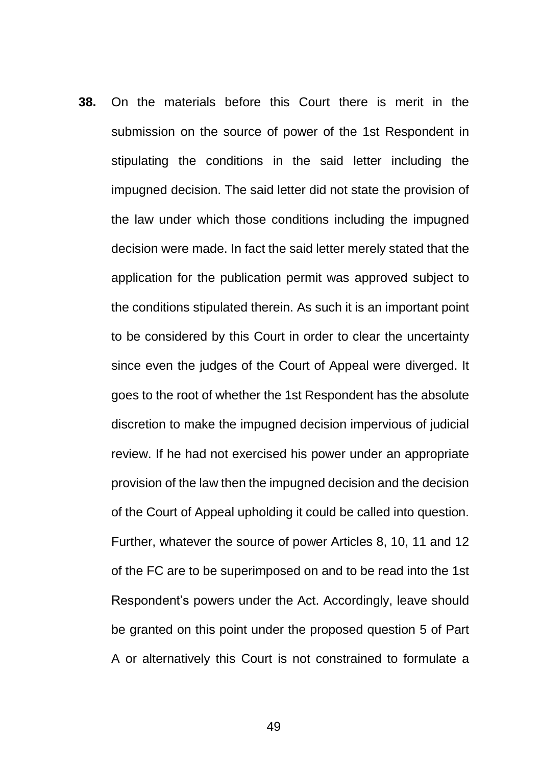**38.** On the materials before this Court there is merit in the submission on the source of power of the 1st Respondent in stipulating the conditions in the said letter including the impugned decision. The said letter did not state the provision of the law under which those conditions including the impugned decision were made. In fact the said letter merely stated that the application for the publication permit was approved subject to the conditions stipulated therein. As such it is an important point to be considered by this Court in order to clear the uncertainty since even the judges of the Court of Appeal were diverged. It goes to the root of whether the 1st Respondent has the absolute discretion to make the impugned decision impervious of judicial review. If he had not exercised his power under an appropriate provision of the law then the impugned decision and the decision of the Court of Appeal upholding it could be called into question. Further, whatever the source of power Articles 8, 10, 11 and 12 of the FC are to be superimposed on and to be read into the 1st Respondent's powers under the Act. Accordingly, leave should be granted on this point under the proposed question 5 of Part A or alternatively this Court is not constrained to formulate a

49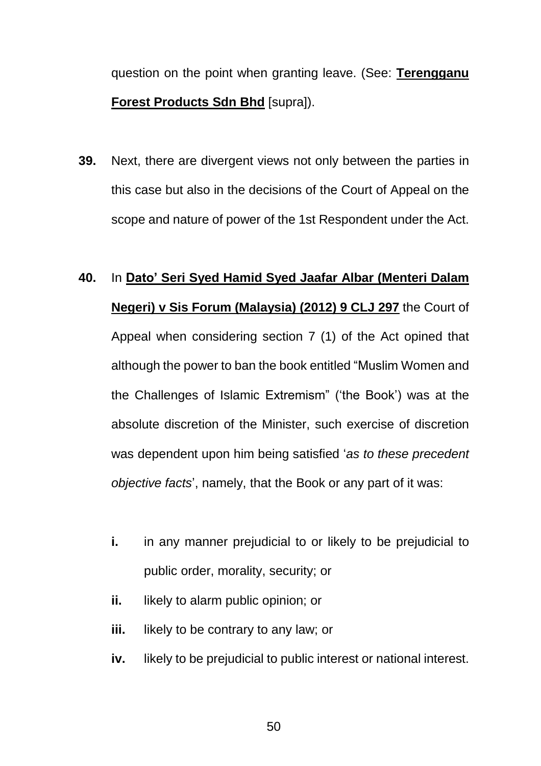question on the point when granting leave. (See: **Terengganu Forest Products Sdn Bhd** [supra]).

**39.** Next, there are divergent views not only between the parties in this case but also in the decisions of the Court of Appeal on the scope and nature of power of the 1st Respondent under the Act.

# **40.** In **Dato' Seri Syed Hamid Syed Jaafar Albar (Menteri Dalam Negeri) v Sis Forum (Malaysia) (2012) 9 CLJ 297** the Court of Appeal when considering section 7 (1) of the Act opined that although the power to ban the book entitled "Muslim Women and the Challenges of Islamic Extremism" ('the Book') was at the absolute discretion of the Minister, such exercise of discretion was dependent upon him being satisfied '*as to these precedent objective facts*', namely, that the Book or any part of it was:

- **i.** in any manner prejudicial to or likely to be prejudicial to public order, morality, security; or
- **ii.** likely to alarm public opinion; or
- **iii.** likely to be contrary to any law; or
- **iv.** likely to be prejudicial to public interest or national interest.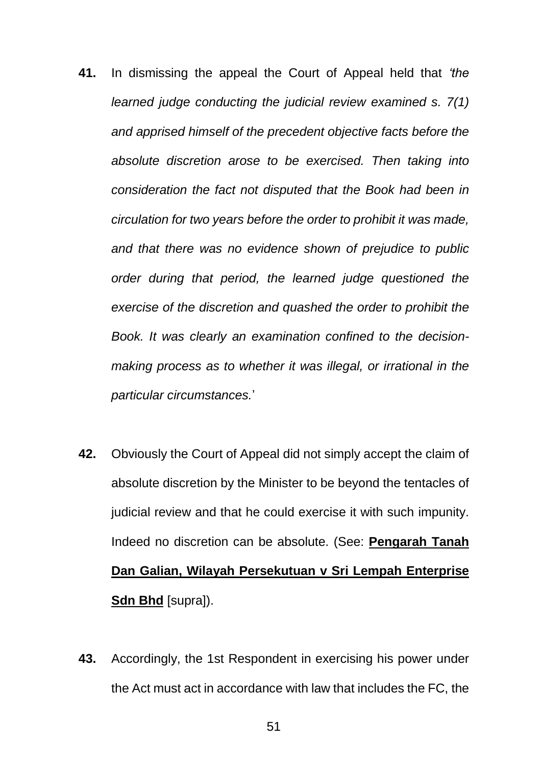- **41.** In dismissing the appeal the Court of Appeal held that *'the learned judge conducting the judicial review examined s. 7(1) and apprised himself of the precedent objective facts before the absolute discretion arose to be exercised. Then taking into consideration the fact not disputed that the Book had been in circulation for two years before the order to prohibit it was made, and that there was no evidence shown of prejudice to public order during that period, the learned judge questioned the exercise of the discretion and quashed the order to prohibit the Book. It was clearly an examination confined to the decisionmaking process as to whether it was illegal, or irrational in the particular circumstances.*'
- **42.** Obviously the Court of Appeal did not simply accept the claim of absolute discretion by the Minister to be beyond the tentacles of judicial review and that he could exercise it with such impunity. Indeed no discretion can be absolute. (See: **Pengarah Tanah Dan Galian, Wilayah Persekutuan v Sri Lempah Enterprise Sdn Bhd** [supra]).
- **43.** Accordingly, the 1st Respondent in exercising his power under the Act must act in accordance with law that includes the FC, the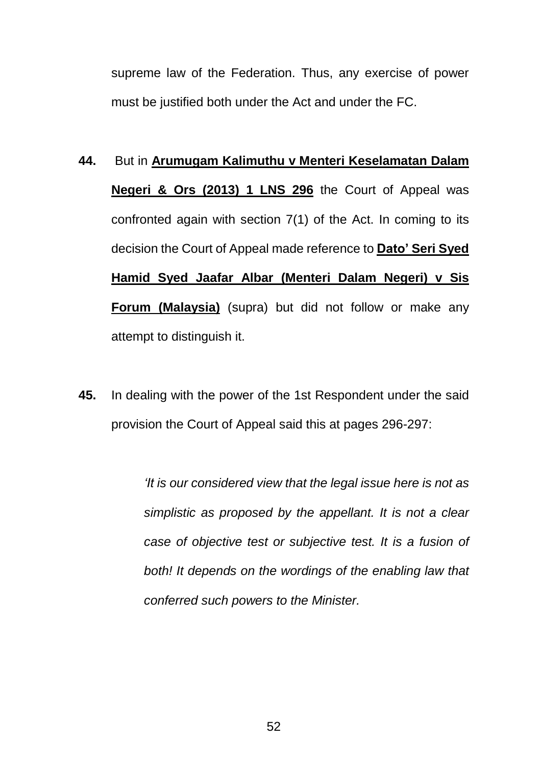supreme law of the Federation. Thus, any exercise of power must be justified both under the Act and under the FC.

- **44.** But in **Arumugam Kalimuthu v Menteri Keselamatan Dalam Negeri & Ors (2013) 1 LNS 296** the Court of Appeal was confronted again with section 7(1) of the Act. In coming to its decision the Court of Appeal made reference to **Dato' Seri Syed Hamid Syed Jaafar Albar (Menteri Dalam Negeri) v Sis Forum (Malaysia)** (supra) but did not follow or make any attempt to distinguish it.
- **45.** In dealing with the power of the 1st Respondent under the said provision the Court of Appeal said this at pages 296-297:

*'It is our considered view that the legal issue here is not as simplistic as proposed by the appellant. It is not a clear case of objective test or subjective test. It is a fusion of both! It depends on the wordings of the enabling law that conferred such powers to the Minister.*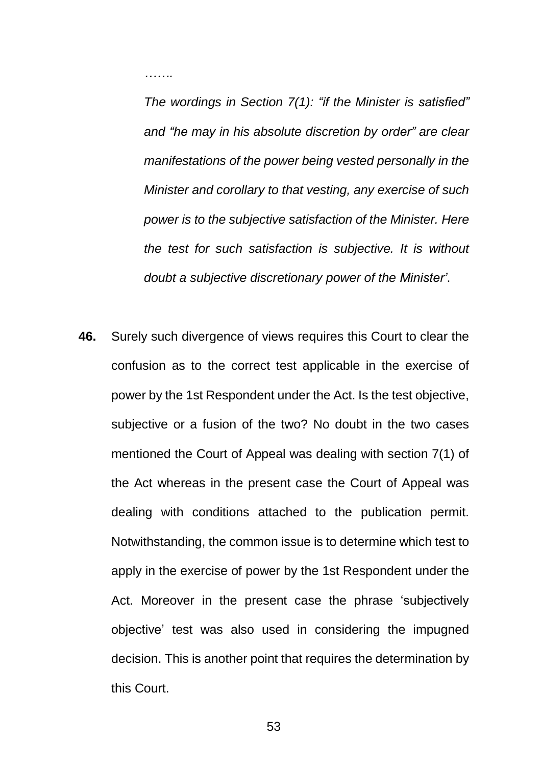*…….*

*The wordings in Section 7(1): "if the Minister is satisfied" and "he may in his absolute discretion by order" are clear manifestations of the power being vested personally in the Minister and corollary to that vesting, any exercise of such power is to the subjective satisfaction of the Minister. Here the test for such satisfaction is subjective. It is without doubt a subjective discretionary power of the Minister'*.

**46.** Surely such divergence of views requires this Court to clear the confusion as to the correct test applicable in the exercise of power by the 1st Respondent under the Act. Is the test objective, subjective or a fusion of the two? No doubt in the two cases mentioned the Court of Appeal was dealing with section 7(1) of the Act whereas in the present case the Court of Appeal was dealing with conditions attached to the publication permit. Notwithstanding, the common issue is to determine which test to apply in the exercise of power by the 1st Respondent under the Act. Moreover in the present case the phrase 'subjectively objective' test was also used in considering the impugned decision. This is another point that requires the determination by this Court.

53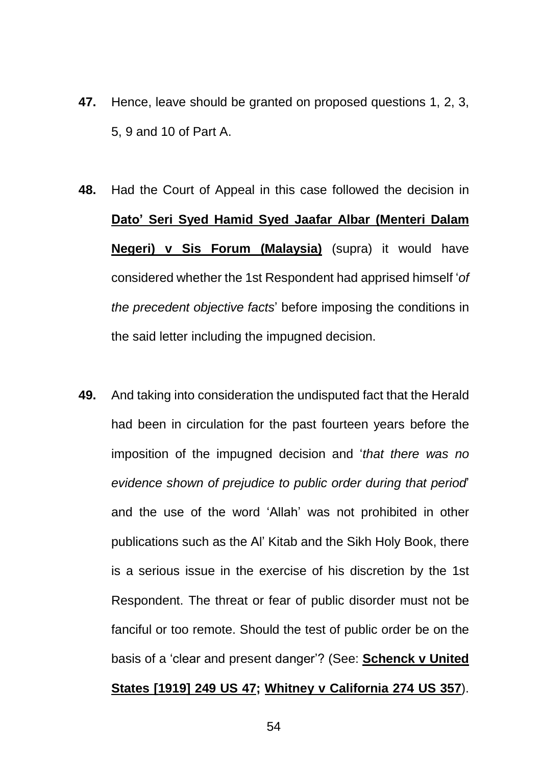- **47.** Hence, leave should be granted on proposed questions 1, 2, 3, 5, 9 and 10 of Part A.
- **48.** Had the Court of Appeal in this case followed the decision in **Dato' Seri Syed Hamid Syed Jaafar Albar (Menteri Dalam Negeri) v Sis Forum (Malaysia)** (supra) it would have considered whether the 1st Respondent had apprised himself '*of the precedent objective facts*' before imposing the conditions in the said letter including the impugned decision.
- **49.** And taking into consideration the undisputed fact that the Herald had been in circulation for the past fourteen years before the imposition of the impugned decision and '*that there was no evidence shown of prejudice to public order during that period*' and the use of the word 'Allah' was not prohibited in other publications such as the Al' Kitab and the Sikh Holy Book, there is a serious issue in the exercise of his discretion by the 1st Respondent. The threat or fear of public disorder must not be fanciful or too remote. Should the test of public order be on the basis of a 'clear and present danger'? (See: **Schenck v United States [1919] 249 US 47; Whitney v California 274 US 357**).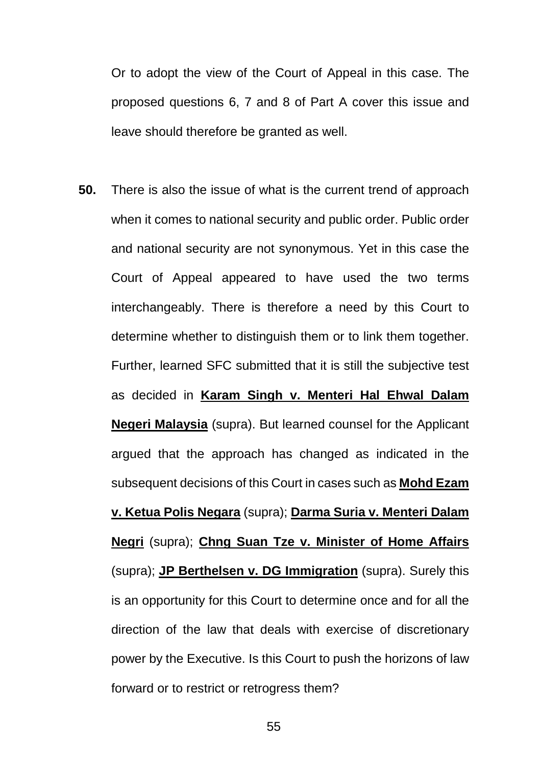Or to adopt the view of the Court of Appeal in this case. The proposed questions 6, 7 and 8 of Part A cover this issue and leave should therefore be granted as well.

**50.** There is also the issue of what is the current trend of approach when it comes to national security and public order. Public order and national security are not synonymous. Yet in this case the Court of Appeal appeared to have used the two terms interchangeably. There is therefore a need by this Court to determine whether to distinguish them or to link them together. Further, learned SFC submitted that it is still the subjective test as decided in **Karam Singh v. Menteri Hal Ehwal Dalam Negeri Malaysia** (supra). But learned counsel for the Applicant argued that the approach has changed as indicated in the subsequent decisions of this Court in cases such as **Mohd Ezam v. Ketua Polis Negara** (supra); **Darma Suria v. Menteri Dalam Negri** (supra); **Chng Suan Tze v. Minister of Home Affairs** (supra); **JP Berthelsen v. DG Immigration** (supra). Surely this is an opportunity for this Court to determine once and for all the direction of the law that deals with exercise of discretionary power by the Executive. Is this Court to push the horizons of law forward or to restrict or retrogress them?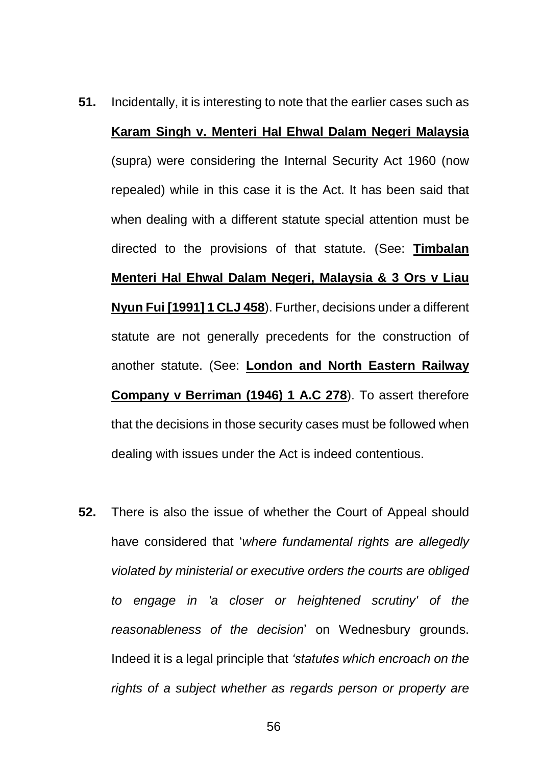- **51.** Incidentally, it is interesting to note that the earlier cases such as **Karam Singh v. Menteri Hal Ehwal Dalam Negeri Malaysia** (supra) were considering the Internal Security Act 1960 (now repealed) while in this case it is the Act. It has been said that when dealing with a different statute special attention must be directed to the provisions of that statute. (See: **Timbalan Menteri Hal Ehwal Dalam Negeri, Malaysia & 3 Ors v Liau Nyun Fui [1991] 1 CLJ 458**). Further, decisions under a different statute are not generally precedents for the construction of another statute. (See: **London and North Eastern Railway Company v Berriman (1946) 1 A.C 278**). To assert therefore that the decisions in those security cases must be followed when dealing with issues under the Act is indeed contentious.
- **52.** There is also the issue of whether the Court of Appeal should have considered that '*where fundamental rights are allegedly violated by ministerial or executive orders the courts are obliged to engage in 'a closer or heightened scrutiny' of the reasonableness of the decision*' on Wednesbury grounds. Indeed it is a legal principle that *'statutes which encroach on the rights of a subject whether as regards person or property are*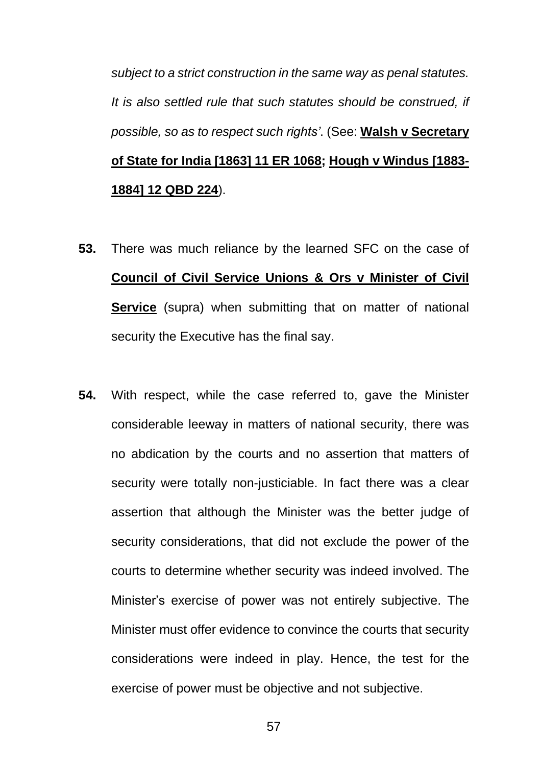*subject to a strict construction in the same way as penal statutes. It is also settled rule that such statutes should be construed, if possible, so as to respect such rights'*. (See: **Walsh v Secretary of State for India [1863] 11 ER 1068; Hough v Windus [1883- 1884] 12 QBD 224**).

- **53.** There was much reliance by the learned SFC on the case of **Council of Civil Service Unions & Ors v Minister of Civil Service** (supra) when submitting that on matter of national security the Executive has the final say.
- **54.** With respect, while the case referred to, gave the Minister considerable leeway in matters of national security, there was no abdication by the courts and no assertion that matters of security were totally non-justiciable. In fact there was a clear assertion that although the Minister was the better judge of security considerations, that did not exclude the power of the courts to determine whether security was indeed involved. The Minister's exercise of power was not entirely subjective. The Minister must offer evidence to convince the courts that security considerations were indeed in play. Hence, the test for the exercise of power must be objective and not subjective.

57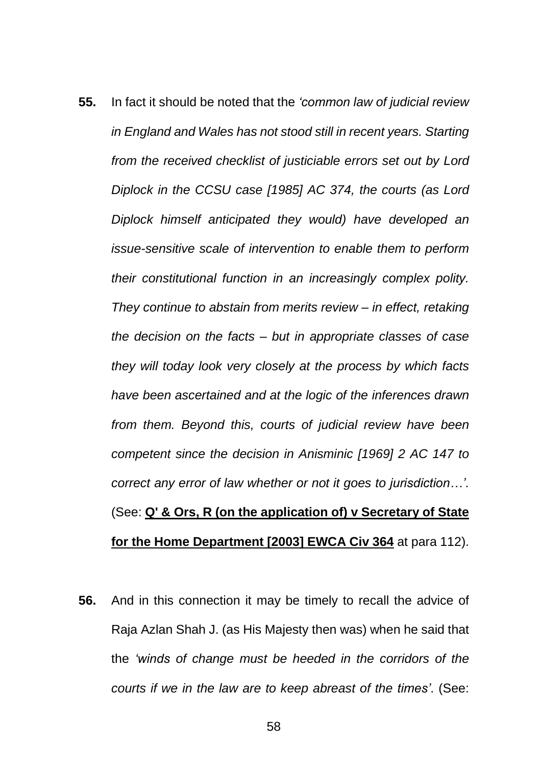- **55.** In fact it should be noted that the *'common law of judicial review in England and Wales has not stood still in recent years. Starting from the received checklist of justiciable errors set out by Lord Diplock in the CCSU case [1985] AC 374, the courts (as Lord Diplock himself anticipated they would) have developed an issue-sensitive scale of intervention to enable them to perform their constitutional function in an increasingly complex polity. They continue to abstain from merits review – in effect, retaking the decision on the facts – but in appropriate classes of case they will today look very closely at the process by which facts have been ascertained and at the logic of the inferences drawn from them. Beyond this, courts of judicial review have been competent since the decision in Anisminic [1969] 2 AC 147 to correct any error of law whether or not it goes to jurisdiction…'*. (See: **Q' & Ors, R (on the application of) v Secretary of State for the Home Department [2003] EWCA Civ 364** at para 112).
- **56.** And in this connection it may be timely to recall the advice of Raja Azlan Shah J. (as His Majesty then was) when he said that the *'winds of change must be heeded in the corridors of the courts if we in the law are to keep abreast of the times'*. (See: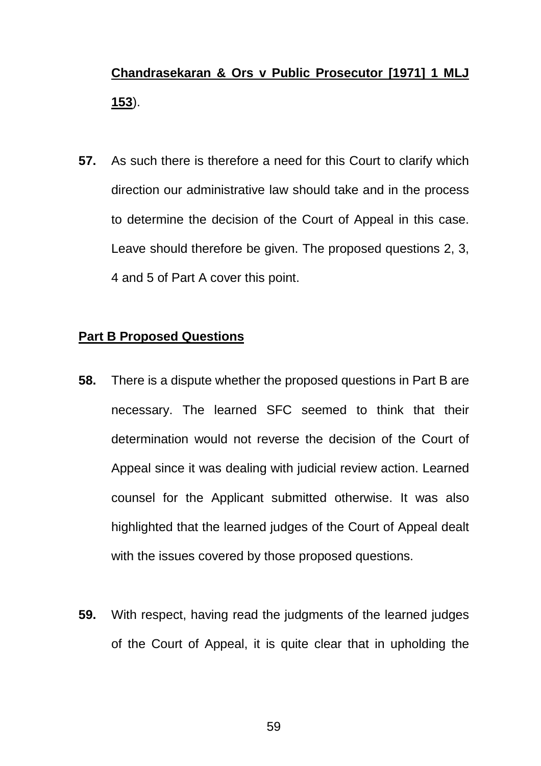# **Chandrasekaran & Ors v Public Prosecutor [1971] 1 MLJ 153**).

**57.** As such there is therefore a need for this Court to clarify which direction our administrative law should take and in the process to determine the decision of the Court of Appeal in this case. Leave should therefore be given. The proposed questions 2, 3, 4 and 5 of Part A cover this point.

### **Part B Proposed Questions**

- **58.** There is a dispute whether the proposed questions in Part B are necessary. The learned SFC seemed to think that their determination would not reverse the decision of the Court of Appeal since it was dealing with judicial review action. Learned counsel for the Applicant submitted otherwise. It was also highlighted that the learned judges of the Court of Appeal dealt with the issues covered by those proposed questions.
- **59.** With respect, having read the judgments of the learned judges of the Court of Appeal, it is quite clear that in upholding the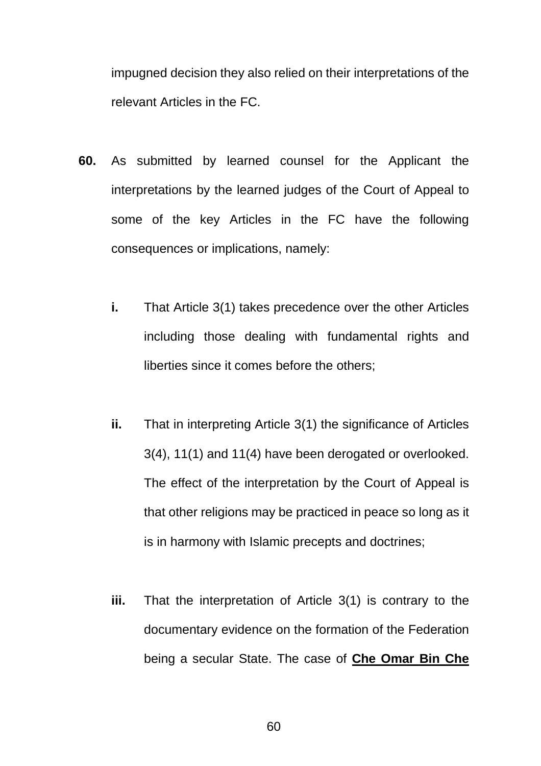impugned decision they also relied on their interpretations of the relevant Articles in the FC.

- **60.** As submitted by learned counsel for the Applicant the interpretations by the learned judges of the Court of Appeal to some of the key Articles in the FC have the following consequences or implications, namely:
	- **i.** That Article 3(1) takes precedence over the other Articles including those dealing with fundamental rights and liberties since it comes before the others;
	- **ii.** That in interpreting Article 3(1) the significance of Articles 3(4), 11(1) and 11(4) have been derogated or overlooked. The effect of the interpretation by the Court of Appeal is that other religions may be practiced in peace so long as it is in harmony with Islamic precepts and doctrines;
	- **iii.** That the interpretation of Article 3(1) is contrary to the documentary evidence on the formation of the Federation being a secular State. The case of **Che Omar Bin Che**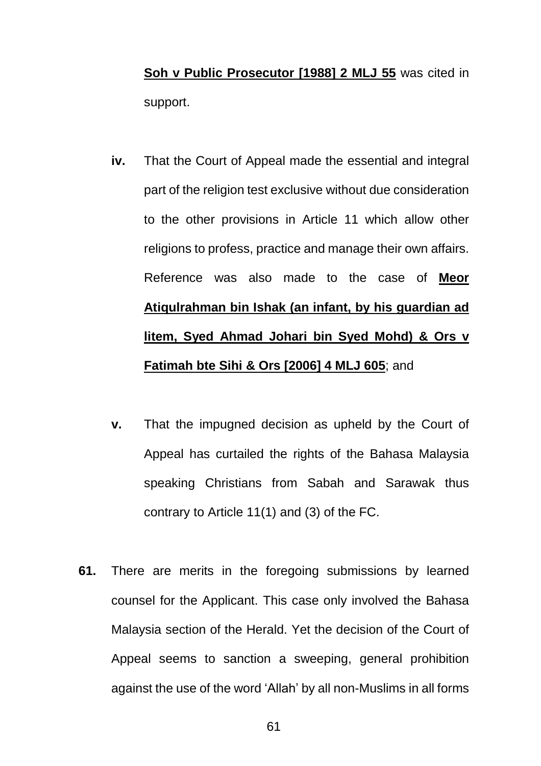**Soh v Public Prosecutor [1988] 2 MLJ 55** was cited in support.

- **iv.** That the Court of Appeal made the essential and integral part of the religion test exclusive without due consideration to the other provisions in Article 11 which allow other religions to profess, practice and manage their own affairs. Reference was also made to the case of **Meor Atiqulrahman bin Ishak (an infant, by his guardian ad litem, Syed Ahmad Johari bin Syed Mohd) & Ors v Fatimah bte Sihi & Ors [2006] 4 MLJ 605**; and
- **v.** That the impugned decision as upheld by the Court of Appeal has curtailed the rights of the Bahasa Malaysia speaking Christians from Sabah and Sarawak thus contrary to Article 11(1) and (3) of the FC.
- **61.** There are merits in the foregoing submissions by learned counsel for the Applicant. This case only involved the Bahasa Malaysia section of the Herald. Yet the decision of the Court of Appeal seems to sanction a sweeping, general prohibition against the use of the word 'Allah' by all non-Muslims in all forms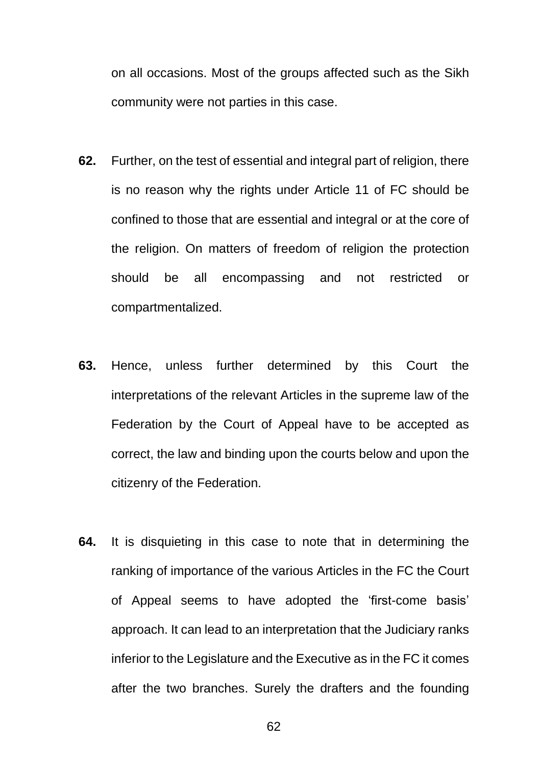on all occasions. Most of the groups affected such as the Sikh community were not parties in this case.

- **62.** Further, on the test of essential and integral part of religion, there is no reason why the rights under Article 11 of FC should be confined to those that are essential and integral or at the core of the religion. On matters of freedom of religion the protection should be all encompassing and not restricted or compartmentalized.
- **63.** Hence, unless further determined by this Court the interpretations of the relevant Articles in the supreme law of the Federation by the Court of Appeal have to be accepted as correct, the law and binding upon the courts below and upon the citizenry of the Federation.
- **64.** It is disquieting in this case to note that in determining the ranking of importance of the various Articles in the FC the Court of Appeal seems to have adopted the 'first-come basis' approach. It can lead to an interpretation that the Judiciary ranks inferior to the Legislature and the Executive as in the FC it comes after the two branches. Surely the drafters and the founding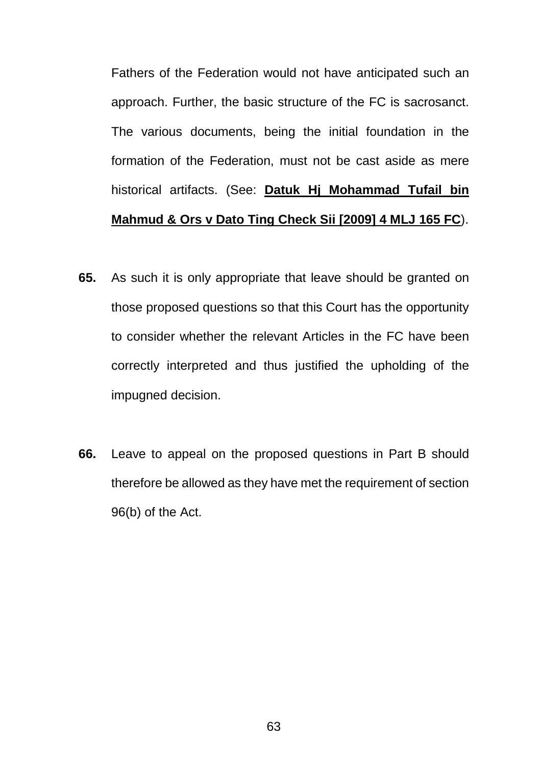Fathers of the Federation would not have anticipated such an approach. Further, the basic structure of the FC is sacrosanct. The various documents, being the initial foundation in the formation of the Federation, must not be cast aside as mere historical artifacts. (See: **Datuk Hj Mohammad Tufail bin Mahmud & Ors v Dato Ting Check Sii [2009] 4 MLJ 165 FC**).

- **65.** As such it is only appropriate that leave should be granted on those proposed questions so that this Court has the opportunity to consider whether the relevant Articles in the FC have been correctly interpreted and thus justified the upholding of the impugned decision.
- **66.** Leave to appeal on the proposed questions in Part B should therefore be allowed as they have met the requirement of section 96(b) of the Act.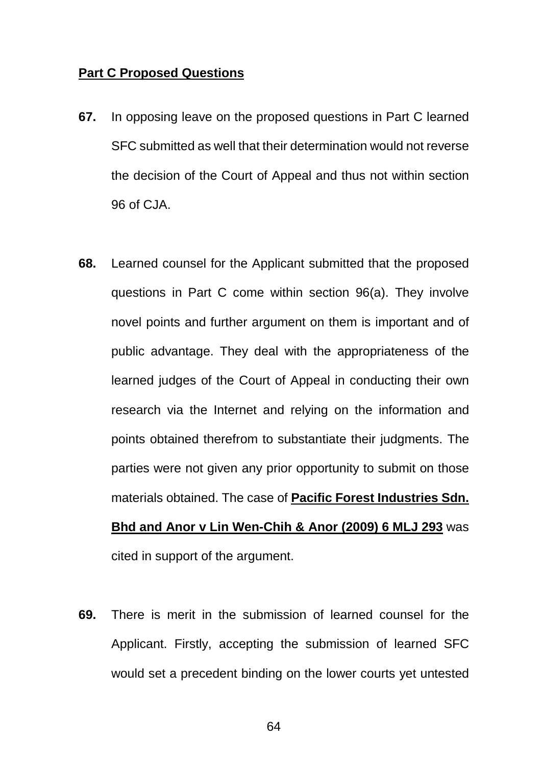### **Part C Proposed Questions**

- **67.** In opposing leave on the proposed questions in Part C learned SFC submitted as well that their determination would not reverse the decision of the Court of Appeal and thus not within section 96 of CJA.
- **68.** Learned counsel for the Applicant submitted that the proposed questions in Part C come within section 96(a). They involve novel points and further argument on them is important and of public advantage. They deal with the appropriateness of the learned judges of the Court of Appeal in conducting their own research via the Internet and relying on the information and points obtained therefrom to substantiate their judgments. The parties were not given any prior opportunity to submit on those materials obtained. The case of **Pacific Forest Industries Sdn. Bhd and Anor v Lin Wen-Chih & Anor (2009) 6 MLJ 293** was cited in support of the argument.
- **69.** There is merit in the submission of learned counsel for the Applicant. Firstly, accepting the submission of learned SFC would set a precedent binding on the lower courts yet untested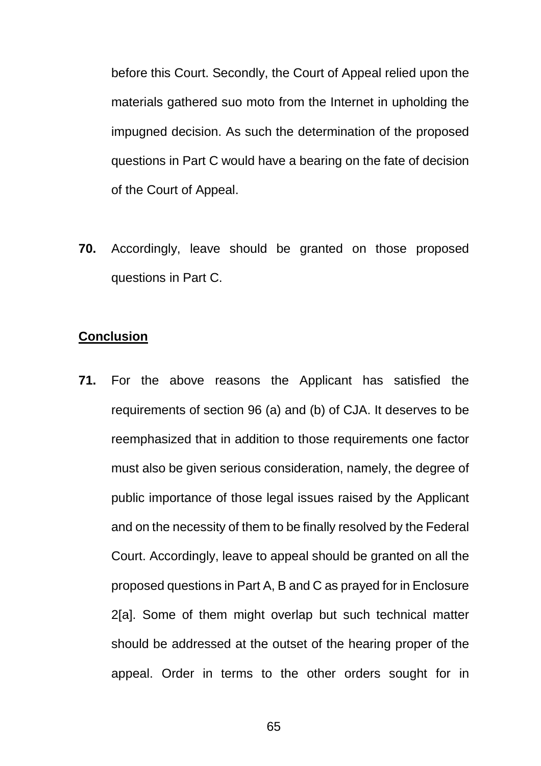before this Court. Secondly, the Court of Appeal relied upon the materials gathered suo moto from the Internet in upholding the impugned decision. As such the determination of the proposed questions in Part C would have a bearing on the fate of decision of the Court of Appeal.

**70.** Accordingly, leave should be granted on those proposed questions in Part C.

#### **Conclusion**

**71.** For the above reasons the Applicant has satisfied the requirements of section 96 (a) and (b) of CJA. It deserves to be reemphasized that in addition to those requirements one factor must also be given serious consideration, namely, the degree of public importance of those legal issues raised by the Applicant and on the necessity of them to be finally resolved by the Federal Court. Accordingly, leave to appeal should be granted on all the proposed questions in Part A, B and C as prayed for in Enclosure 2[a]. Some of them might overlap but such technical matter should be addressed at the outset of the hearing proper of the appeal. Order in terms to the other orders sought for in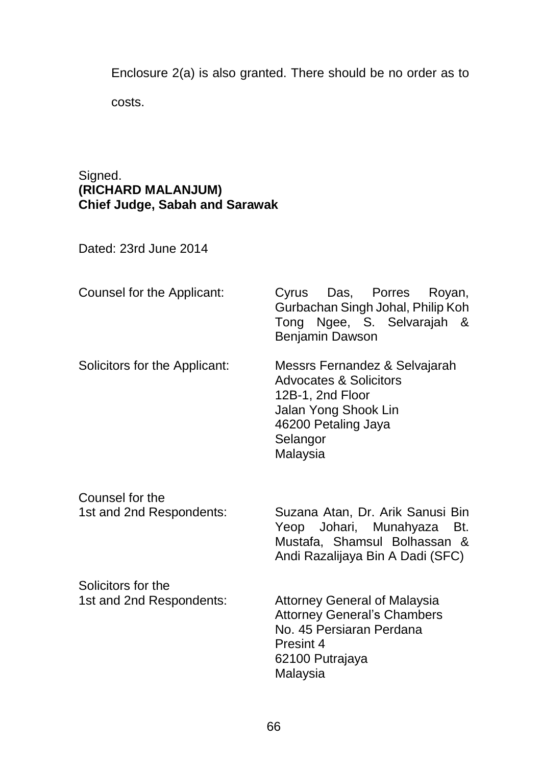Enclosure 2(a) is also granted. There should be no order as to

costs.

# Signed. **(RICHARD MALANJUM) Chief Judge, Sabah and Sarawak**

Dated: 23rd June 2014

| Counsel for the Applicant:                     | Das, Porres<br>Cyrus<br>Royan,<br>Gurbachan Singh Johal, Philip Koh<br>Tong Ngee, S. Selvarajah &<br>Benjamin Dawson                                          |
|------------------------------------------------|---------------------------------------------------------------------------------------------------------------------------------------------------------------|
| Solicitors for the Applicant:                  | Messrs Fernandez & Selvajarah<br><b>Advocates &amp; Solicitors</b><br>12B-1, 2nd Floor<br>Jalan Yong Shook Lin<br>46200 Petaling Jaya<br>Selangor<br>Malaysia |
| Counsel for the<br>1st and 2nd Respondents:    | Suzana Atan, Dr. Arik Sanusi Bin<br>Johari, Munahyaza<br>Yeop<br>Bt.<br>Mustafa, Shamsul Bolhassan &<br>Andi Razalijaya Bin A Dadi (SFC)                      |
| Solicitors for the<br>1st and 2nd Respondents: | <b>Attorney General of Malaysia</b><br><b>Attorney General's Chambers</b><br>No. 45 Persiaran Perdana<br>Presint 4<br>62100 Putrajaya<br>Malaysia             |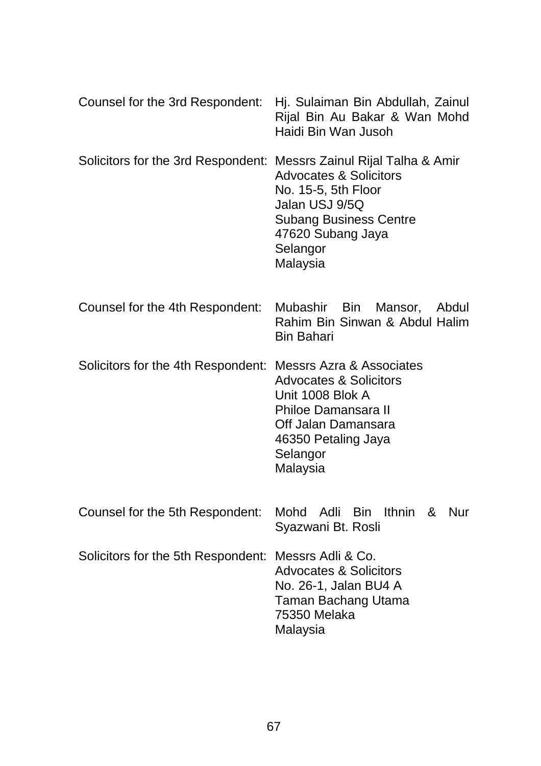|                                                                     | Counsel for the 3rd Respondent: Hj. Sulaiman Bin Abdullah, Zainul<br>Rijal Bin Au Bakar & Wan Mohd<br>Haidi Bin Wan Jusoh                                 |
|---------------------------------------------------------------------|-----------------------------------------------------------------------------------------------------------------------------------------------------------|
| Solicitors for the 3rd Respondent: Messrs Zainul Rijal Talha & Amir | <b>Advocates &amp; Solicitors</b><br>No. 15-5, 5th Floor<br>Jalan USJ 9/5Q<br><b>Subang Business Centre</b><br>47620 Subang Jaya<br>Selangor<br>Malaysia  |
| Counsel for the 4th Respondent:                                     | Mubashir Bin<br>Mansor,<br>Abdul<br>Rahim Bin Sinwan & Abdul Halim<br><b>Bin Bahari</b>                                                                   |
| Solicitors for the 4th Respondent: Messrs Azra & Associates         | <b>Advocates &amp; Solicitors</b><br>Unit 1008 Blok A<br><b>Philoe Damansara II</b><br>Off Jalan Damansara<br>46350 Petaling Jaya<br>Selangor<br>Malaysia |
| Counsel for the 5th Respondent:                                     | Mohd Adli Bin Ithnin &<br>Nur<br>Syazwani Bt. Rosli                                                                                                       |
| Solicitors for the 5th Respondent: Messrs Adli & Co.                | <b>Advocates &amp; Solicitors</b><br>No. 26-1, Jalan BU4 A<br>Taman Bachang Utama<br>75350 Melaka<br>Malaysia                                             |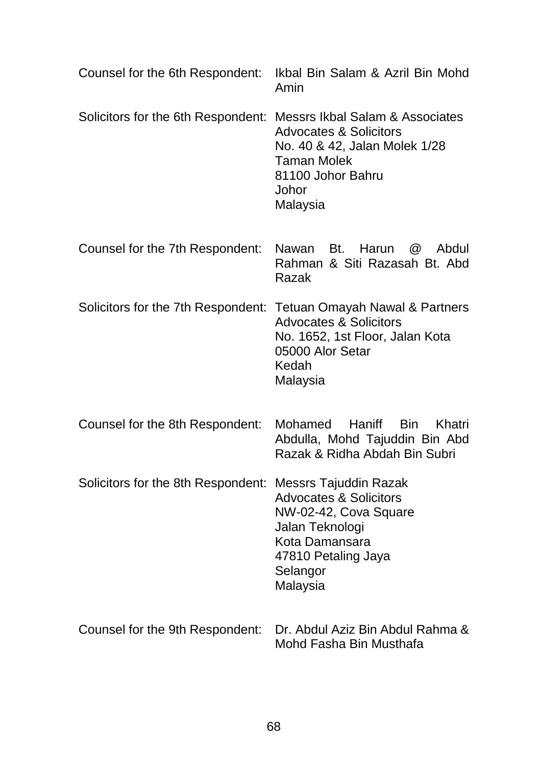|                                                                    | Counsel for the 6th Respondent: Ikbal Bin Salam & Azril Bin Mohd<br>Amin                                                                                                           |
|--------------------------------------------------------------------|------------------------------------------------------------------------------------------------------------------------------------------------------------------------------------|
| Solicitors for the 6th Respondent: Messrs Ikbal Salam & Associates | <b>Advocates &amp; Solicitors</b><br>No. 40 & 42, Jalan Molek 1/28<br><b>Taman Molek</b><br>81100 Johor Bahru<br>Johor<br>Malaysia                                                 |
| Counsel for the 7th Respondent:                                    | Nawan Bt. Harun<br>$\circleda$<br>Abdul<br>Rahman & Siti Razasah Bt. Abd<br>Razak                                                                                                  |
|                                                                    | Solicitors for the 7th Respondent: Tetuan Omayah Nawal & Partners<br><b>Advocates &amp; Solicitors</b><br>No. 1652, 1st Floor, Jalan Kota<br>05000 Alor Setar<br>Kedah<br>Malaysia |
| Counsel for the 8th Respondent:                                    | Haniff<br><b>Bin</b><br>Khatri<br>Mohamed<br>Abdulla, Mohd Tajuddin Bin Abd<br>Razak & Ridha Abdah Bin Subri                                                                       |
| Solicitors for the 8th Respondent: Messrs Tajuddin Razak           | <b>Advocates &amp; Solicitors</b><br>NW-02-42, Cova Square<br>Jalan Teknologi<br>Kota Damansara<br>47810 Petaling Jaya<br>Selangor<br>Malaysia                                     |
| Counsel for the 9th Respondent:                                    | Dr. Abdul Aziz Bin Abdul Rahma &<br>Mohd Fasha Bin Musthafa                                                                                                                        |